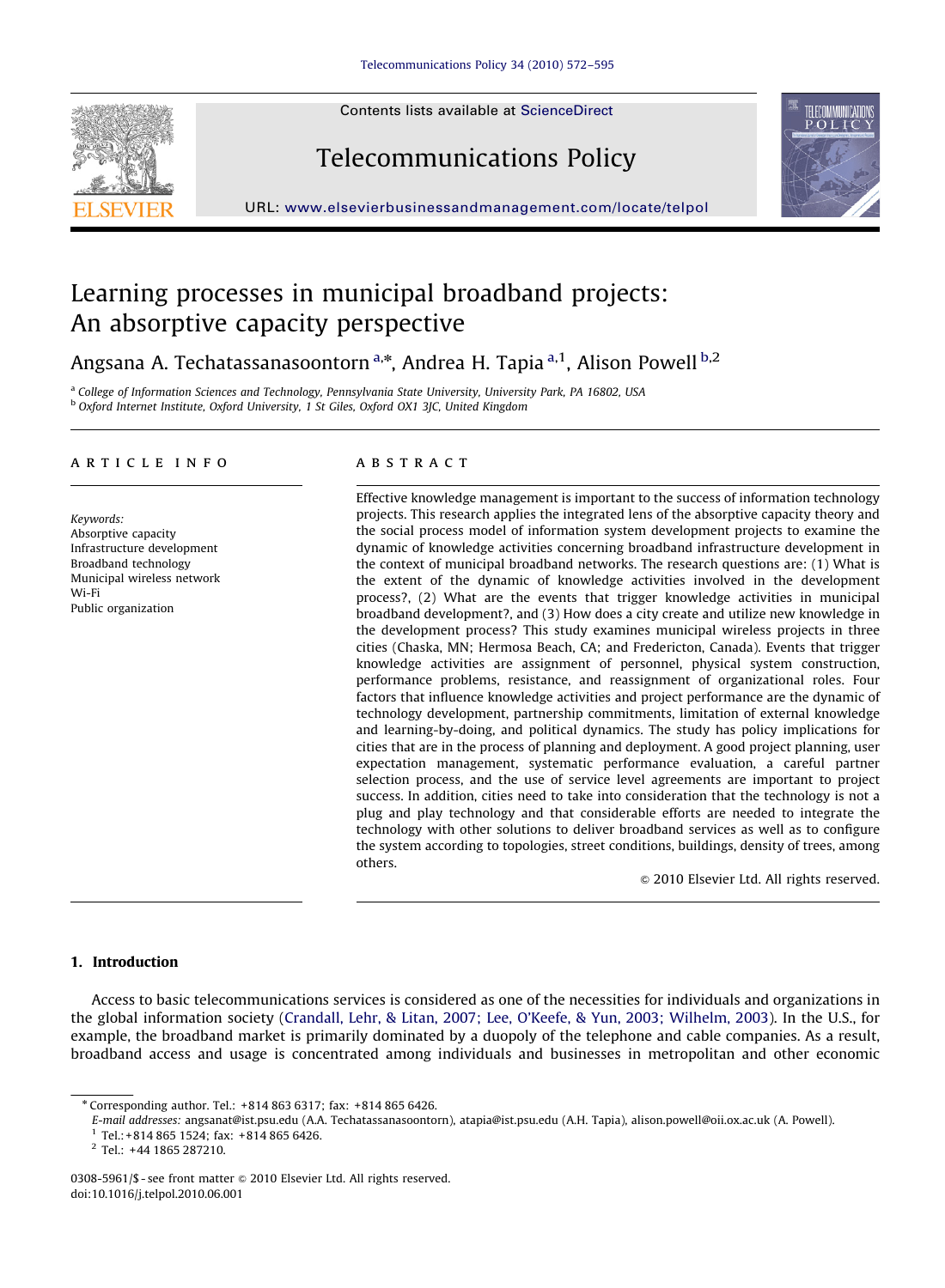Contents lists available at ScienceDirect







URL: <www.elsevierbusinessandmanagement.com/locate/telpol>

# Learning processes in municipal broadband projects: An absorptive capacity perspective

Angsana A. Techatassanasoontorn<sup>a,</sup>\*, Andrea H. Tapia <sup>a,1</sup>, Alison Powell <sup>b,2</sup>

a College of Information Sciences and Technology, Pennsylvania State University, University Park, PA 16802, USA <sup>b</sup> Oxford Internet Institute, Oxford University, 1 St Giles, Oxford OX1 3JC, United Kingdom

#### article info

Keywords: Absorptive capacity Infrastructure development Broadband technology Municipal wireless network Wi-Fi Public organization

# **ABSTRACT**

Effective knowledge management is important to the success of information technology projects. This research applies the integrated lens of the absorptive capacity theory and the social process model of information system development projects to examine the dynamic of knowledge activities concerning broadband infrastructure development in the context of municipal broadband networks. The research questions are: (1) What is the extent of the dynamic of knowledge activities involved in the development process?, (2) What are the events that trigger knowledge activities in municipal broadband development?, and (3) How does a city create and utilize new knowledge in the development process? This study examines municipal wireless projects in three cities (Chaska, MN; Hermosa Beach, CA; and Fredericton, Canada). Events that trigger knowledge activities are assignment of personnel, physical system construction, performance problems, resistance, and reassignment of organizational roles. Four factors that influence knowledge activities and project performance are the dynamic of technology development, partnership commitments, limitation of external knowledge and learning-by-doing, and political dynamics. The study has policy implications for cities that are in the process of planning and deployment. A good project planning, user expectation management, systematic performance evaluation, a careful partner selection process, and the use of service level agreements are important to project success. In addition, cities need to take into consideration that the technology is not a plug and play technology and that considerable efforts are needed to integrate the technology with other solutions to deliver broadband services as well as to configure the system according to topologies, street conditions, buildings, density of trees, among others.

 $© 2010 Elsevier Ltd. All rights reserved.$ 

# 1. Introduction

Access to basic telecommunications services is considered as one of the necessities for individuals and organizations in the global information society [\(Crandall, Lehr, & Litan, 2007; Lee, O'Keefe, & Yun, 2003; Wilhelm, 2003](#page-22-0)). In the U.S., for example, the broadband market is primarily dominated by a duopoly of the telephone and cable companies. As a result, broadband access and usage is concentrated among individuals and businesses in metropolitan and other economic

<sup>n</sup> Corresponding author. Tel.: +814 863 6317; fax: +814 865 6426.

E-mail addresses: [angsanat@ist.psu.edu \(A.A. Techatassanasoontorn\)](mailto:angsanat@ist.psu.edu), [atapia@ist.psu.edu \(A.H. Tapia\)](mailto:atapia@ist.psu.edu), [alison.powell@oii.ox.ac.uk \(A. Powell\).](mailto:alison.powell@oii.ox.ac.uk)

 $1$  Tel.: +814 865 1524; fax: +814 865 6426.

<sup>2</sup> Tel.: +44 1865 287210.

<sup>0308-5961/\$ -</sup> see front matter  $\odot$  2010 Elsevier Ltd. All rights reserved. doi:[10.1016/j.telpol.2010.06.001](dx.doi.org/10.1016/j.telpol.2010.06.001)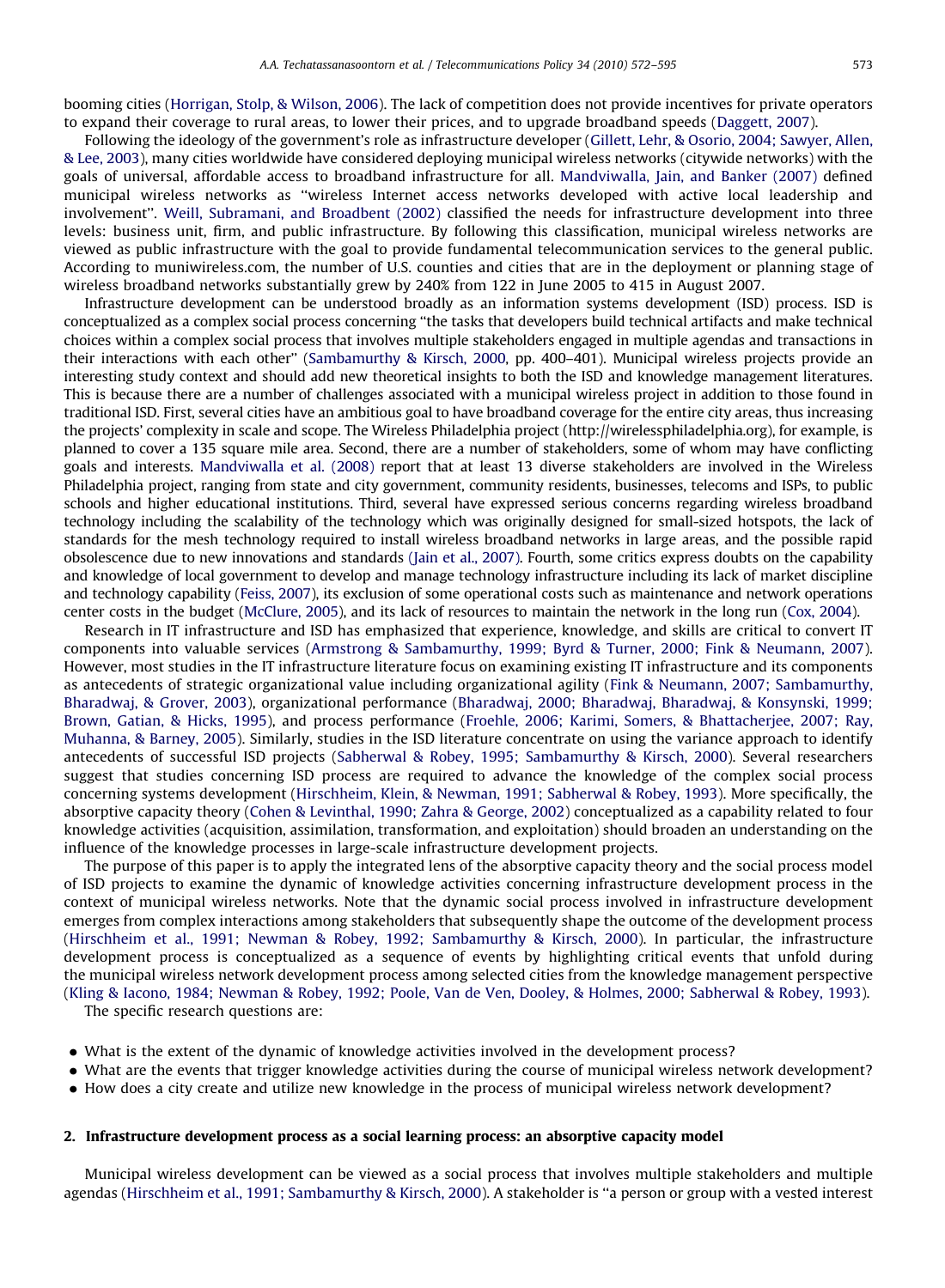booming cities [\(Horrigan, Stolp, & Wilson, 2006](#page-22-0)). The lack of competition does not provide incentives for private operators to expand their coverage to rural areas, to lower their prices, and to upgrade broadband speeds [\(Daggett, 2007\)](#page-22-0).

Following the ideology of the government's role as infrastructure developer [\(Gillett, Lehr, & Osorio, 2004; Sawyer, Allen,](#page-22-0) & [Lee, 2003\)](#page-22-0), many cities worldwide have considered deploying municipal wireless networks (citywide networks) with the goals of universal, affordable access to broadband infrastructure for all. [Mandviwalla, Jain, and Banker \(2007\)](#page-22-0) defined municipal wireless networks as ''wireless Internet access networks developed with active local leadership and involvement''. [Weill, Subramani, and Broadbent \(2002\)](#page-23-0) classified the needs for infrastructure development into three levels: business unit, firm, and public infrastructure. By following this classification, municipal wireless networks are viewed as public infrastructure with the goal to provide fundamental telecommunication services to the general public. According to muniwireless.com, the number of U.S. counties and cities that are in the deployment or planning stage of wireless broadband networks substantially grew by 240% from 122 in June 2005 to 415 in August 2007.

Infrastructure development can be understood broadly as an information systems development (ISD) process. ISD is conceptualized as a complex social process concerning ''the tasks that developers build technical artifacts and make technical choices within a complex social process that involves multiple stakeholders engaged in multiple agendas and transactions in their interactions with each other'' [\(Sambamurthy & Kirsch, 2000](#page-23-0), pp. 400–401). Municipal wireless projects provide an interesting study context and should add new theoretical insights to both the ISD and knowledge management literatures. This is because there are a number of challenges associated with a municipal wireless project in addition to those found in traditional ISD. First, several cities have an ambitious goal to have broadband coverage for the entire city areas, thus increasing the projects' complexity in scale and scope. The Wireless Philadelphia project (http://wirelessphiladelphia.org), for example, is planned to cover a 135 square mile area. Second, there are a number of stakeholders, some of whom may have conflicting goals and interests. [Mandviwalla et al. \(2008\)](#page-22-0) report that at least 13 diverse stakeholders are involved in the Wireless Philadelphia project, ranging from state and city government, community residents, businesses, telecoms and ISPs, to public schools and higher educational institutions. Third, several have expressed serious concerns regarding wireless broadband technology including the scalability of the technology which was originally designed for small-sized hotspots, the lack of standards for the mesh technology required to install wireless broadband networks in large areas, and the possible rapid obsolescence due to new innovations and standards [\(Jain et al., 2007\).](#page-22-0) Fourth, some critics express doubts on the capability and knowledge of local government to develop and manage technology infrastructure including its lack of market discipline and technology capability [\(Feiss, 2007](#page-22-0)), its exclusion of some operational costs such as maintenance and network operations center costs in the budget ([McClure, 2005\)](#page-22-0), and its lack of resources to maintain the network in the long run ([Cox, 2004\)](#page-22-0).

Research in IT infrastructure and ISD has emphasized that experience, knowledge, and skills are critical to convert IT components into valuable services [\(Armstrong & Sambamurthy, 1999; Byrd](#page-21-0) [& Turner, 2000; Fink & Neumann, 2007](#page-21-0)). However, most studies in the IT infrastructure literature focus on examining existing IT infrastructure and its components as antecedents of strategic organizational value including organizational agility ([Fink & Neumann, 2007; Sambamurthy,](#page-22-0) [Bharadwaj, & Grover, 2003](#page-22-0)), organizational performance [\(Bharadwaj, 2000; Bharadwaj, Bharadwaj,](#page-21-0) [& Konsynski, 1999;](#page-21-0) [Brown, Gatian,](#page-21-0) [& Hicks, 1995\)](#page-21-0), and process performance ([Froehle, 2006; Karimi, Somers, & Bhattacherjee, 2007; Ray,](#page-22-0) [Muhanna, & Barney, 2005](#page-22-0)). Similarly, studies in the ISD literature concentrate on using the variance approach to identify antecedents of successful ISD projects [\(Sabherwal](#page-23-0) & [Robey, 1995; Sambamurthy & Kirsch, 2000](#page-23-0)). Several researchers suggest that studies concerning ISD process are required to advance the knowledge of the complex social process concerning systems development ([Hirschheim, Klein, & Newman, 1991; Sabherwal](#page-22-0) & [Robey, 1993\)](#page-22-0). More specifically, the absorptive capacity theory ([Cohen](#page-22-0) [& Levinthal, 1990; Zahra & George, 2002](#page-22-0)) conceptualized as a capability related to four knowledge activities (acquisition, assimilation, transformation, and exploitation) should broaden an understanding on the influence of the knowledge processes in large-scale infrastructure development projects.

The purpose of this paper is to apply the integrated lens of the absorptive capacity theory and the social process model of ISD projects to examine the dynamic of knowledge activities concerning infrastructure development process in the context of municipal wireless networks. Note that the dynamic social process involved in infrastructure development emerges from complex interactions among stakeholders that subsequently shape the outcome of the development process ([Hirschheim et al., 1991; Newman & Robey, 1992; Sambamurthy & Kirsch, 2000\)](#page-22-0). In particular, the infrastructure development process is conceptualized as a sequence of events by highlighting critical events that unfold during the municipal wireless network development process among selected cities from the knowledge management perspective ([Kling & Iacono, 1984; Newman](#page-22-0) & [Robey, 1992; Poole, Van de Ven, Dooley, & Holmes, 2000; Sabherwal](#page-22-0) [& Robey, 1993](#page-22-0)).

The specific research questions are:

- What is the extent of the dynamic of knowledge activities involved in the development process?
- What are the events that trigger knowledge activities during the course of municipal wireless network development?
- How does a city create and utilize new knowledge in the process of municipal wireless network development?

## 2. Infrastructure development process as a social learning process: an absorptive capacity model

Municipal wireless development can be viewed as a social process that involves multiple stakeholders and multiple agendas [\(Hirschheim et al., 1991; Sambamurthy & Kirsch, 2000](#page-22-0)). A stakeholder is ''a person or group with a vested interest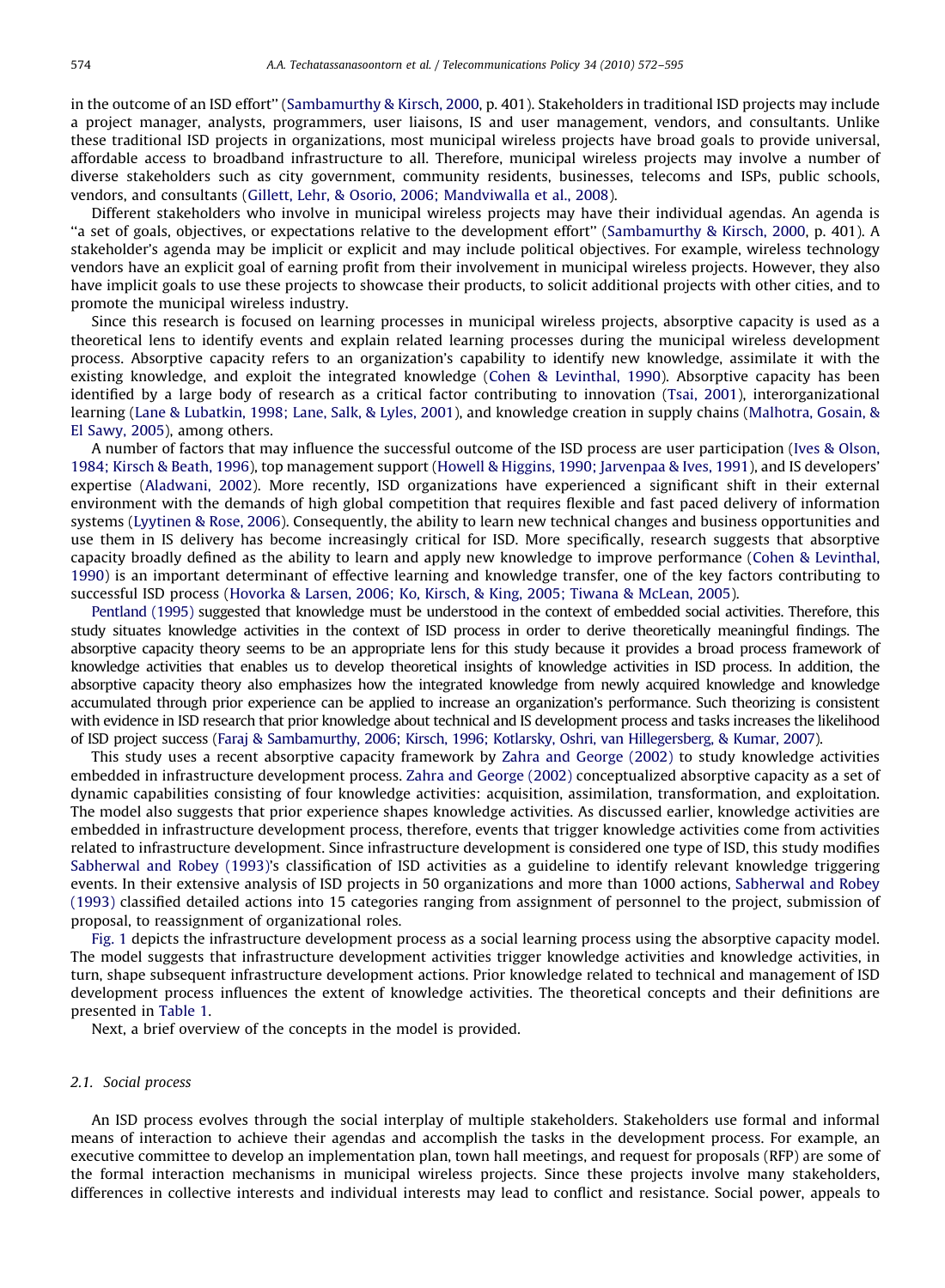in the outcome of an ISD effort'' [\(Sambamurthy & Kirsch, 2000](#page-23-0), p. 401). Stakeholders in traditional ISD projects may include a project manager, analysts, programmers, user liaisons, IS and user management, vendors, and consultants. Unlike these traditional ISD projects in organizations, most municipal wireless projects have broad goals to provide universal, affordable access to broadband infrastructure to all. Therefore, municipal wireless projects may involve a number of diverse stakeholders such as city government, community residents, businesses, telecoms and ISPs, public schools, vendors, and consultants ([Gillett, Lehr, & Osorio, 2006; Mandviwalla et al., 2008\)](#page-22-0).

Different stakeholders who involve in municipal wireless projects may have their individual agendas. An agenda is ''a set of goals, objectives, or expectations relative to the development effort'' [\(Sambamurthy](#page-23-0) [& Kirsch, 2000](#page-23-0), p. 401). A stakeholder's agenda may be implicit or explicit and may include political objectives. For example, wireless technology vendors have an explicit goal of earning profit from their involvement in municipal wireless projects. However, they also have implicit goals to use these projects to showcase their products, to solicit additional projects with other cities, and to promote the municipal wireless industry.

Since this research is focused on learning processes in municipal wireless projects, absorptive capacity is used as a theoretical lens to identify events and explain related learning processes during the municipal wireless development process. Absorptive capacity refers to an organization's capability to identify new knowledge, assimilate it with the existing knowledge, and exploit the integrated knowledge ([Cohen](#page-22-0) & [Levinthal, 1990\)](#page-22-0). Absorptive capacity has been identified by a large body of research as a critical factor contributing to innovation ([Tsai, 2001](#page-23-0)), interorganizational learning ([Lane](#page-22-0) & [Lubatkin, 1998; Lane, Salk, & Lyles, 2001\)](#page-22-0), and knowledge creation in supply chains ([Malhotra, Gosain,](#page-22-0) & [El Sawy, 2005\)](#page-22-0), among others.

A number of factors that may influence the successful outcome of the ISD process are user participation ([Ives](#page-22-0) & [Olson,](#page-22-0) [1984; Kirsch & Beath, 1996\)](#page-22-0), top management support [\(Howell](#page-22-0) [& Higgins, 1990; Jarvenpaa & Ives, 1991\)](#page-22-0), and IS developers' expertise ([Aladwani, 2002](#page-21-0)). More recently, ISD organizations have experienced a significant shift in their external environment with the demands of high global competition that requires flexible and fast paced delivery of information systems [\(Lyytinen & Rose, 2006\)](#page-22-0). Consequently, the ability to learn new technical changes and business opportunities and use them in IS delivery has become increasingly critical for ISD. More specifically, research suggests that absorptive capacity broadly defined as the ability to learn and apply new knowledge to improve performance ([Cohen & Levinthal,](#page-22-0) [1990](#page-22-0)) is an important determinant of effective learning and knowledge transfer, one of the key factors contributing to successful ISD process [\(Hovorka](#page-22-0) [& Larsen, 2006; Ko, Kirsch,](#page-22-0) [& King, 2005; Tiwana](#page-22-0) [& McLean, 2005](#page-22-0)).

[Pentland \(1995\)](#page-23-0) suggested that knowledge must be understood in the context of embedded social activities. Therefore, this study situates knowledge activities in the context of ISD process in order to derive theoretically meaningful findings. The absorptive capacity theory seems to be an appropriate lens for this study because it provides a broad process framework of knowledge activities that enables us to develop theoretical insights of knowledge activities in ISD process. In addition, the absorptive capacity theory also emphasizes how the integrated knowledge from newly acquired knowledge and knowledge accumulated through prior experience can be applied to increase an organization's performance. Such theorizing is consistent with evidence in ISD research that prior knowledge about technical and IS development process and tasks increases the likelihood of ISD project success [\(Faraj & Sambamurthy, 2006; Kirsch, 1996; Kotlarsky, Oshri, van Hillegersberg,](#page-22-0) & [Kumar, 2007\)](#page-22-0).

This study uses a recent absorptive capacity framework by [Zahra and George \(2002\)](#page-23-0) to study knowledge activities embedded in infrastructure development process. [Zahra and George \(2002\)](#page-23-0) conceptualized absorptive capacity as a set of dynamic capabilities consisting of four knowledge activities: acquisition, assimilation, transformation, and exploitation. The model also suggests that prior experience shapes knowledge activities. As discussed earlier, knowledge activities are embedded in infrastructure development process, therefore, events that trigger knowledge activities come from activities related to infrastructure development. Since infrastructure development is considered one type of ISD, this study modifies [Sabherwal and Robey \(1993\)](#page-23-0)'s classification of ISD activities as a guideline to identify relevant knowledge triggering events. In their extensive analysis of ISD projects in 50 organizations and more than 1000 actions, [Sabherwal and Robey](#page-23-0) [\(1993\)](#page-23-0) classified detailed actions into 15 categories ranging from assignment of personnel to the project, submission of proposal, to reassignment of organizational roles.

[Fig. 1](#page-3-0) depicts the infrastructure development process as a social learning process using the absorptive capacity model. The model suggests that infrastructure development activities trigger knowledge activities and knowledge activities, in turn, shape subsequent infrastructure development actions. Prior knowledge related to technical and management of ISD development process influences the extent of knowledge activities. The theoretical concepts and their definitions are presented in [Table 1](#page-3-0).

Next, a brief overview of the concepts in the model is provided.

# 2.1. Social process

An ISD process evolves through the social interplay of multiple stakeholders. Stakeholders use formal and informal means of interaction to achieve their agendas and accomplish the tasks in the development process. For example, an executive committee to develop an implementation plan, town hall meetings, and request for proposals (RFP) are some of the formal interaction mechanisms in municipal wireless projects. Since these projects involve many stakeholders, differences in collective interests and individual interests may lead to conflict and resistance. Social power, appeals to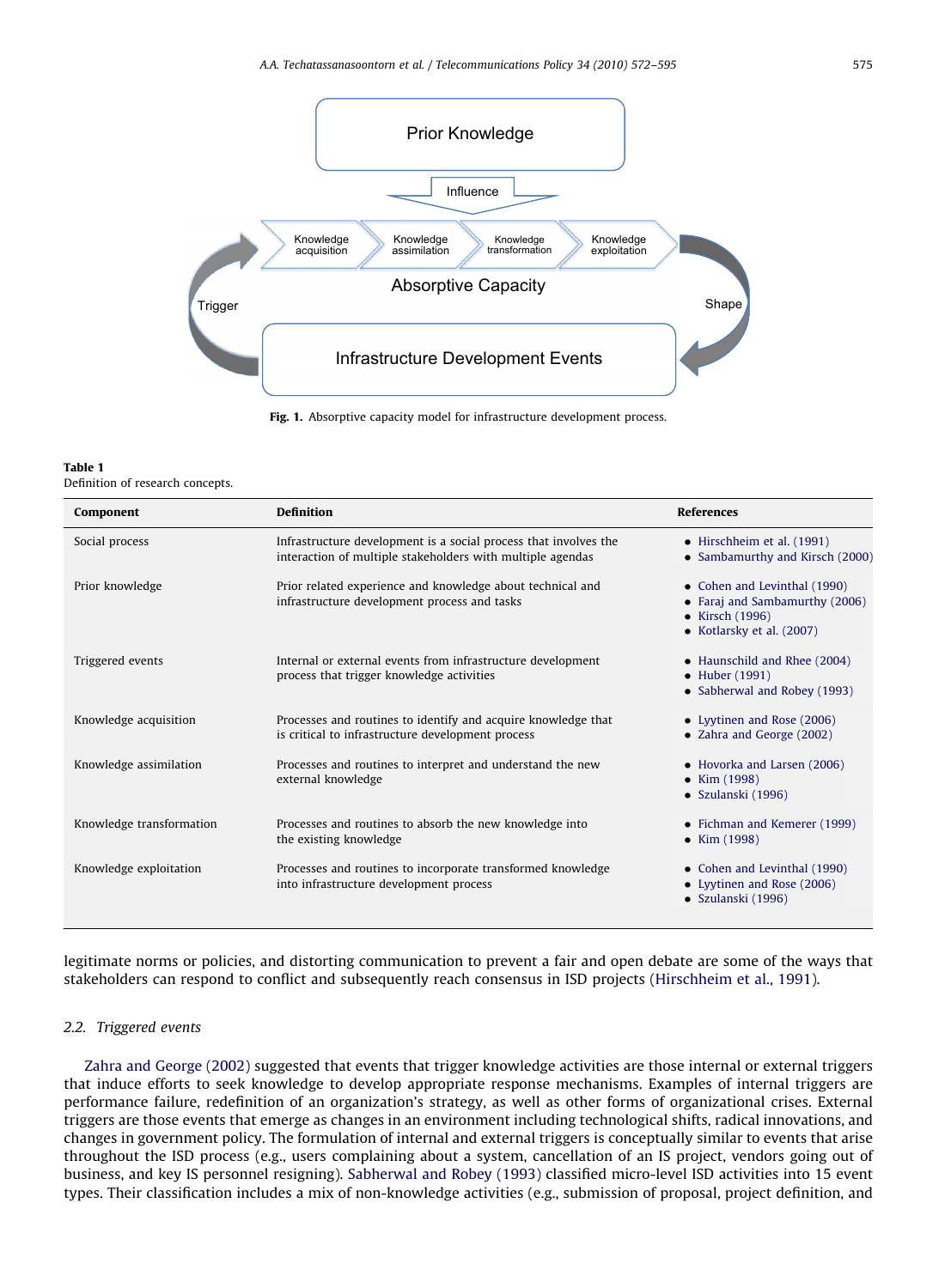<span id="page-3-0"></span>

Definition of research concepts.

| Component                | <b>Definition</b>                                                                                                              | <b>References</b>                                                                                                        |
|--------------------------|--------------------------------------------------------------------------------------------------------------------------------|--------------------------------------------------------------------------------------------------------------------------|
| Social process           | Infrastructure development is a social process that involves the<br>interaction of multiple stakeholders with multiple agendas | $\bullet$ Hirschheim et al. (1991)<br>• Sambamurthy and Kirsch (2000)                                                    |
| Prior knowledge          | Prior related experience and knowledge about technical and<br>infrastructure development process and tasks                     | • Cohen and Levinthal (1990)<br>• Faraj and Sambamurthy (2006)<br>$\bullet$ Kirsch (1996)<br>• Kotlarsky et al. $(2007)$ |
| Triggered events         | Internal or external events from infrastructure development<br>process that trigger knowledge activities                       | • Haunschild and Rhee (2004)<br>• Huber (1991)<br>• Sabherwal and Robey (1993)                                           |
| Knowledge acquisition    | Processes and routines to identify and acquire knowledge that<br>is critical to infrastructure development process             | • Lyytinen and Rose (2006)<br>• Zahra and George (2002)                                                                  |
| Knowledge assimilation   | Processes and routines to interpret and understand the new<br>external knowledge                                               | • Hovorka and Larsen (2006)<br>• $Kim (1998)$<br>• Szulanski (1996)                                                      |
| Knowledge transformation | Processes and routines to absorb the new knowledge into<br>the existing knowledge                                              | • Fichman and Kemerer (1999)<br>• Kim $(1998)$                                                                           |
| Knowledge exploitation   | Processes and routines to incorporate transformed knowledge<br>into infrastructure development process                         | • Cohen and Levinthal (1990)<br>• Lyytinen and Rose (2006)<br>• Szulanski (1996)                                         |

legitimate norms or policies, and distorting communication to prevent a fair and open debate are some of the ways that stakeholders can respond to conflict and subsequently reach consensus in ISD projects ([Hirschheim et al., 1991\)](#page-22-0).

#### 2.2. Triggered events

[Zahra and George \(2002\)](#page-23-0) suggested that events that trigger knowledge activities are those internal or external triggers that induce efforts to seek knowledge to develop appropriate response mechanisms. Examples of internal triggers are performance failure, redefinition of an organization's strategy, as well as other forms of organizational crises. External triggers are those events that emerge as changes in an environment including technological shifts, radical innovations, and changes in government policy. The formulation of internal and external triggers is conceptually similar to events that arise throughout the ISD process (e.g., users complaining about a system, cancellation of an IS project, vendors going out of business, and key IS personnel resigning). [Sabherwal and Robey \(1993\)](#page-23-0) classified micro-level ISD activities into 15 event types. Their classification includes a mix of non-knowledge activities (e.g., submission of proposal, project definition, and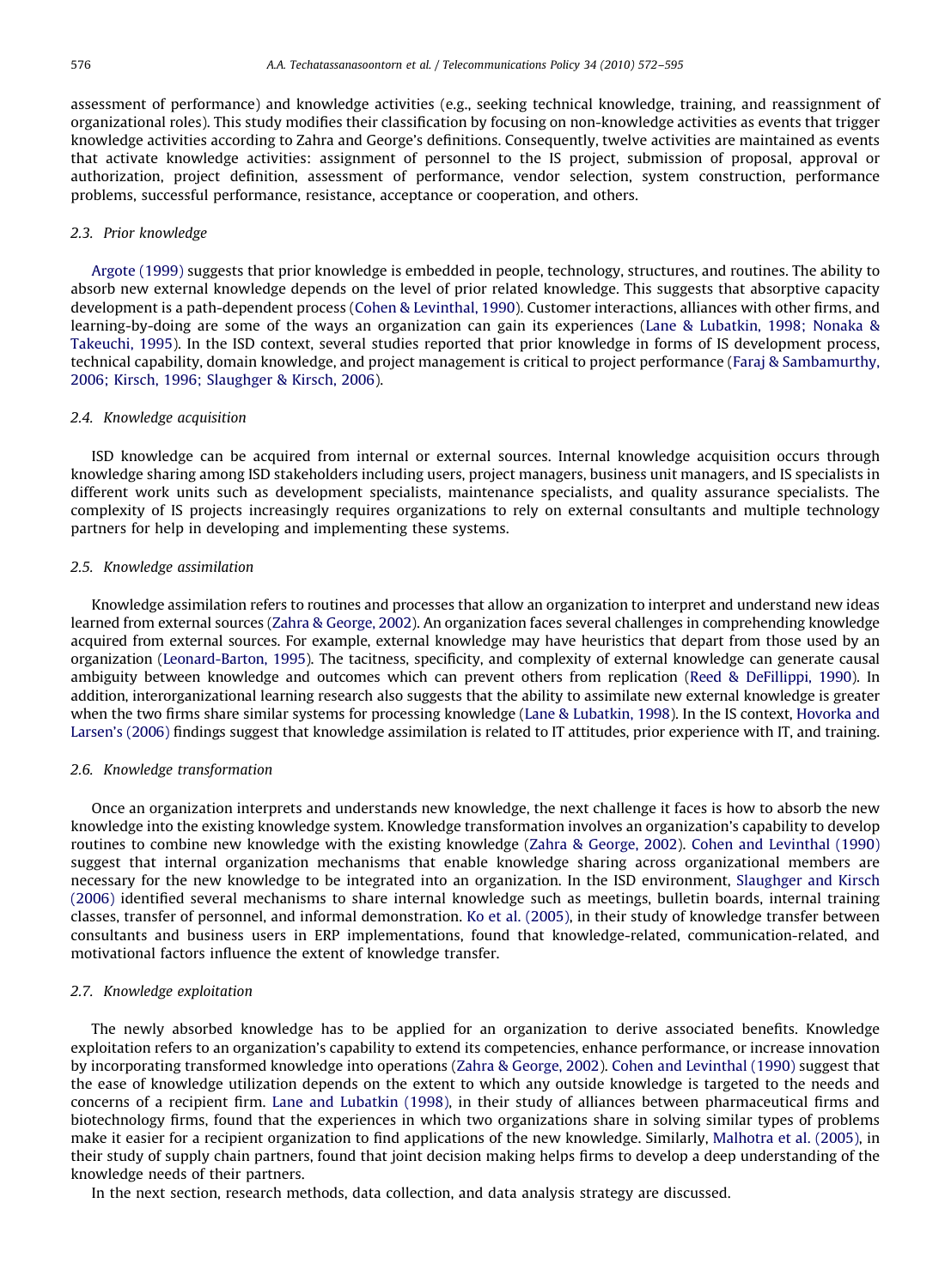assessment of performance) and knowledge activities (e.g., seeking technical knowledge, training, and reassignment of organizational roles). This study modifies their classification by focusing on non-knowledge activities as events that trigger knowledge activities according to Zahra and George's definitions. Consequently, twelve activities are maintained as events that activate knowledge activities: assignment of personnel to the IS project, submission of proposal, approval or authorization, project definition, assessment of performance, vendor selection, system construction, performance problems, successful performance, resistance, acceptance or cooperation, and others.

# 2.3. Prior knowledge

[Argote \(1999\)](#page-21-0) suggests that prior knowledge is embedded in people, technology, structures, and routines. The ability to absorb new external knowledge depends on the level of prior related knowledge. This suggests that absorptive capacity development is a path-dependent process ([Cohen & Levinthal, 1990\)](#page-22-0). Customer interactions, alliances with other firms, and learning-by-doing are some of the ways an organization can gain its experiences [\(Lane & Lubatkin, 1998; Nonaka](#page-22-0) & [Takeuchi, 1995\)](#page-22-0). In the ISD context, several studies reported that prior knowledge in forms of IS development process, technical capability, domain knowledge, and project management is critical to project performance [\(Faraj](#page-22-0) [& Sambamurthy,](#page-22-0) [2006; Kirsch, 1996; Slaughger & Kirsch, 2006](#page-22-0)).

#### 2.4. Knowledge acquisition

ISD knowledge can be acquired from internal or external sources. Internal knowledge acquisition occurs through knowledge sharing among ISD stakeholders including users, project managers, business unit managers, and IS specialists in different work units such as development specialists, maintenance specialists, and quality assurance specialists. The complexity of IS projects increasingly requires organizations to rely on external consultants and multiple technology partners for help in developing and implementing these systems.

### 2.5. Knowledge assimilation

Knowledge assimilation refers to routines and processes that allow an organization to interpret and understand new ideas learned from external sources [\(Zahra](#page-23-0) [& George, 2002](#page-23-0)). An organization faces several challenges in comprehending knowledge acquired from external sources. For example, external knowledge may have heuristics that depart from those used by an organization [\(Leonard-Barton, 1995](#page-22-0)). The tacitness, specificity, and complexity of external knowledge can generate causal ambiguity between knowledge and outcomes which can prevent others from replication ([Reed](#page-23-0) & [DeFillippi, 1990\)](#page-23-0). In addition, interorganizational learning research also suggests that the ability to assimilate new external knowledge is greater when the two firms share similar systems for processing knowledge [\(Lane](#page-22-0) & [Lubatkin, 1998](#page-22-0)). In the IS context, [Hovorka and](#page-22-0) [Larsen's \(2006\)](#page-22-0) findings suggest that knowledge assimilation is related to IT attitudes, prior experience with IT, and training.

#### 2.6. Knowledge transformation

Once an organization interprets and understands new knowledge, the next challenge it faces is how to absorb the new knowledge into the existing knowledge system. Knowledge transformation involves an organization's capability to develop routines to combine new knowledge with the existing knowledge [\(Zahra](#page-23-0) & [George, 2002](#page-23-0)). [Cohen and Levinthal \(1990\)](#page-22-0) suggest that internal organization mechanisms that enable knowledge sharing across organizational members are necessary for the new knowledge to be integrated into an organization. In the ISD environment, [Slaughger and Kirsch](#page-23-0) [\(2006\)](#page-23-0) identified several mechanisms to share internal knowledge such as meetings, bulletin boards, internal training classes, transfer of personnel, and informal demonstration. [Ko et al. \(2005\)](#page-22-0), in their study of knowledge transfer between consultants and business users in ERP implementations, found that knowledge-related, communication-related, and motivational factors influence the extent of knowledge transfer.

#### 2.7. Knowledge exploitation

The newly absorbed knowledge has to be applied for an organization to derive associated benefits. Knowledge exploitation refers to an organization's capability to extend its competencies, enhance performance, or increase innovation by incorporating transformed knowledge into operations [\(Zahra](#page-23-0) & [George, 2002](#page-23-0)). [Cohen and Levinthal \(1990\)](#page-22-0) suggest that the ease of knowledge utilization depends on the extent to which any outside knowledge is targeted to the needs and concerns of a recipient firm. [Lane and Lubatkin \(1998\),](#page-22-0) in their study of alliances between pharmaceutical firms and biotechnology firms, found that the experiences in which two organizations share in solving similar types of problems make it easier for a recipient organization to find applications of the new knowledge. Similarly, [Malhotra et al. \(2005\)](#page-22-0), in their study of supply chain partners, found that joint decision making helps firms to develop a deep understanding of the knowledge needs of their partners.

In the next section, research methods, data collection, and data analysis strategy are discussed.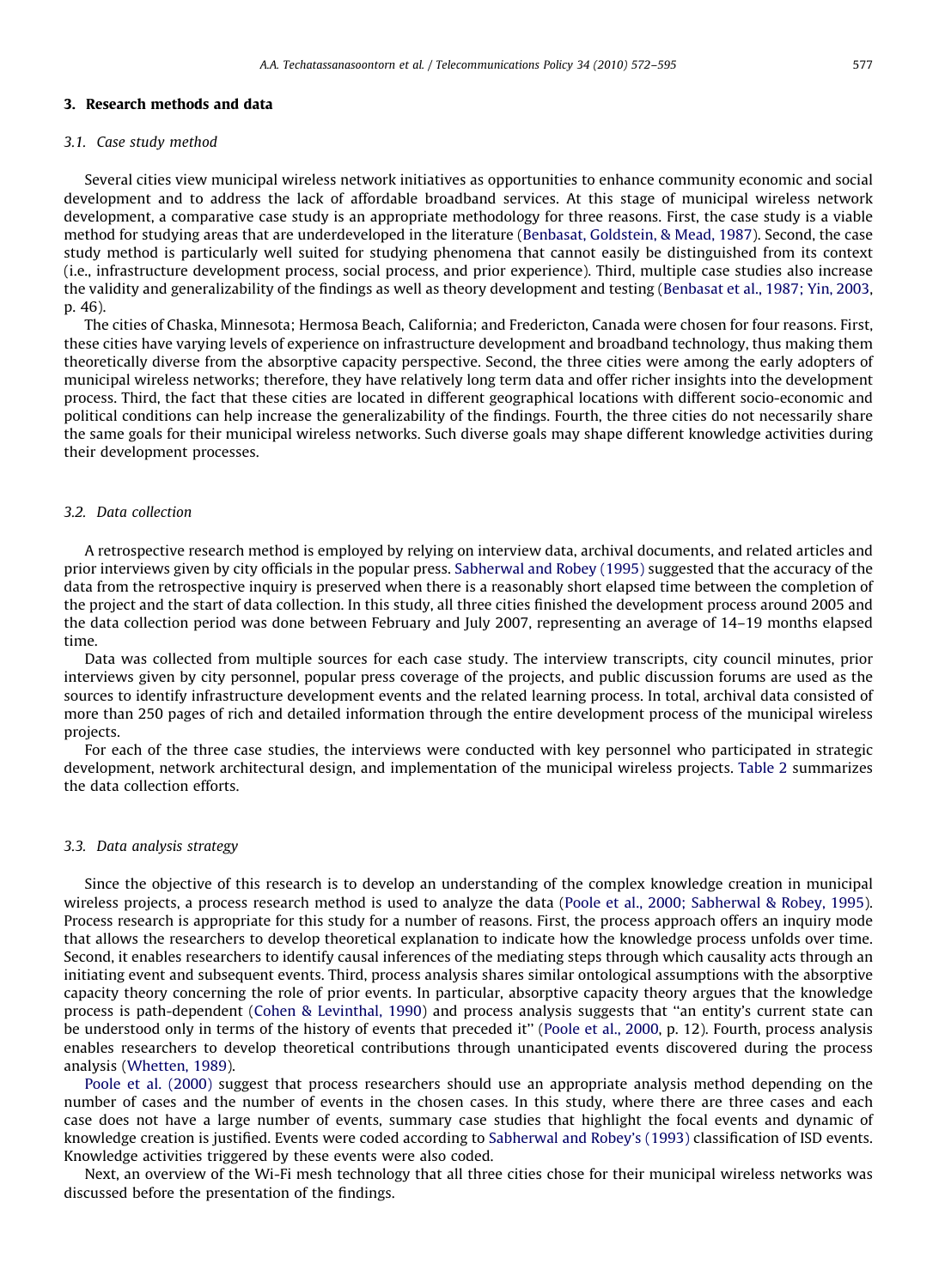#### 3. Research methods and data

#### 3.1. Case study method

Several cities view municipal wireless network initiatives as opportunities to enhance community economic and social development and to address the lack of affordable broadband services. At this stage of municipal wireless network development, a comparative case study is an appropriate methodology for three reasons. First, the case study is a viable method for studying areas that are underdeveloped in the literature [\(Benbasat, Goldstein, & Mead, 1987\)](#page-21-0). Second, the case study method is particularly well suited for studying phenomena that cannot easily be distinguished from its context (i.e., infrastructure development process, social process, and prior experience). Third, multiple case studies also increase the validity and generalizability of the findings as well as theory development and testing [\(Benbasat et al., 1987; Yin, 2003](#page-21-0), p. 46).

The cities of Chaska, Minnesota; Hermosa Beach, California; and Fredericton, Canada were chosen for four reasons. First, these cities have varying levels of experience on infrastructure development and broadband technology, thus making them theoretically diverse from the absorptive capacity perspective. Second, the three cities were among the early adopters of municipal wireless networks; therefore, they have relatively long term data and offer richer insights into the development process. Third, the fact that these cities are located in different geographical locations with different socio-economic and political conditions can help increase the generalizability of the findings. Fourth, the three cities do not necessarily share the same goals for their municipal wireless networks. Such diverse goals may shape different knowledge activities during their development processes.

# 3.2. Data collection

A retrospective research method is employed by relying on interview data, archival documents, and related articles and prior interviews given by city officials in the popular press. [Sabherwal and Robey \(1995\)](#page-23-0) suggested that the accuracy of the data from the retrospective inquiry is preserved when there is a reasonably short elapsed time between the completion of the project and the start of data collection. In this study, all three cities finished the development process around 2005 and the data collection period was done between February and July 2007, representing an average of 14–19 months elapsed time.

Data was collected from multiple sources for each case study. The interview transcripts, city council minutes, prior interviews given by city personnel, popular press coverage of the projects, and public discussion forums are used as the sources to identify infrastructure development events and the related learning process. In total, archival data consisted of more than 250 pages of rich and detailed information through the entire development process of the municipal wireless projects.

For each of the three case studies, the interviews were conducted with key personnel who participated in strategic development, network architectural design, and implementation of the municipal wireless projects. [Table 2](#page-6-0) summarizes the data collection efforts.

## 3.3. Data analysis strategy

Since the objective of this research is to develop an understanding of the complex knowledge creation in municipal wireless projects, a process research method is used to analyze the data [\(Poole et al., 2000; Sabherwal & Robey, 1995](#page-23-0)). Process research is appropriate for this study for a number of reasons. First, the process approach offers an inquiry mode that allows the researchers to develop theoretical explanation to indicate how the knowledge process unfolds over time. Second, it enables researchers to identify causal inferences of the mediating steps through which causality acts through an initiating event and subsequent events. Third, process analysis shares similar ontological assumptions with the absorptive capacity theory concerning the role of prior events. In particular, absorptive capacity theory argues that the knowledge process is path-dependent ([Cohen & Levinthal, 1990\)](#page-22-0) and process analysis suggests that ''an entity's current state can be understood only in terms of the history of events that preceded it'' [\(Poole et al., 2000,](#page-23-0) p. 12). Fourth, process analysis enables researchers to develop theoretical contributions through unanticipated events discovered during the process analysis [\(Whetten, 1989\)](#page-23-0).

[Poole et al. \(2000\)](#page-23-0) suggest that process researchers should use an appropriate analysis method depending on the number of cases and the number of events in the chosen cases. In this study, where there are three cases and each case does not have a large number of events, summary case studies that highlight the focal events and dynamic of knowledge creation is justified. Events were coded according to [Sabherwal and Robey's \(1993\)](#page-23-0) classification of ISD events. Knowledge activities triggered by these events were also coded.

Next, an overview of the Wi-Fi mesh technology that all three cities chose for their municipal wireless networks was discussed before the presentation of the findings.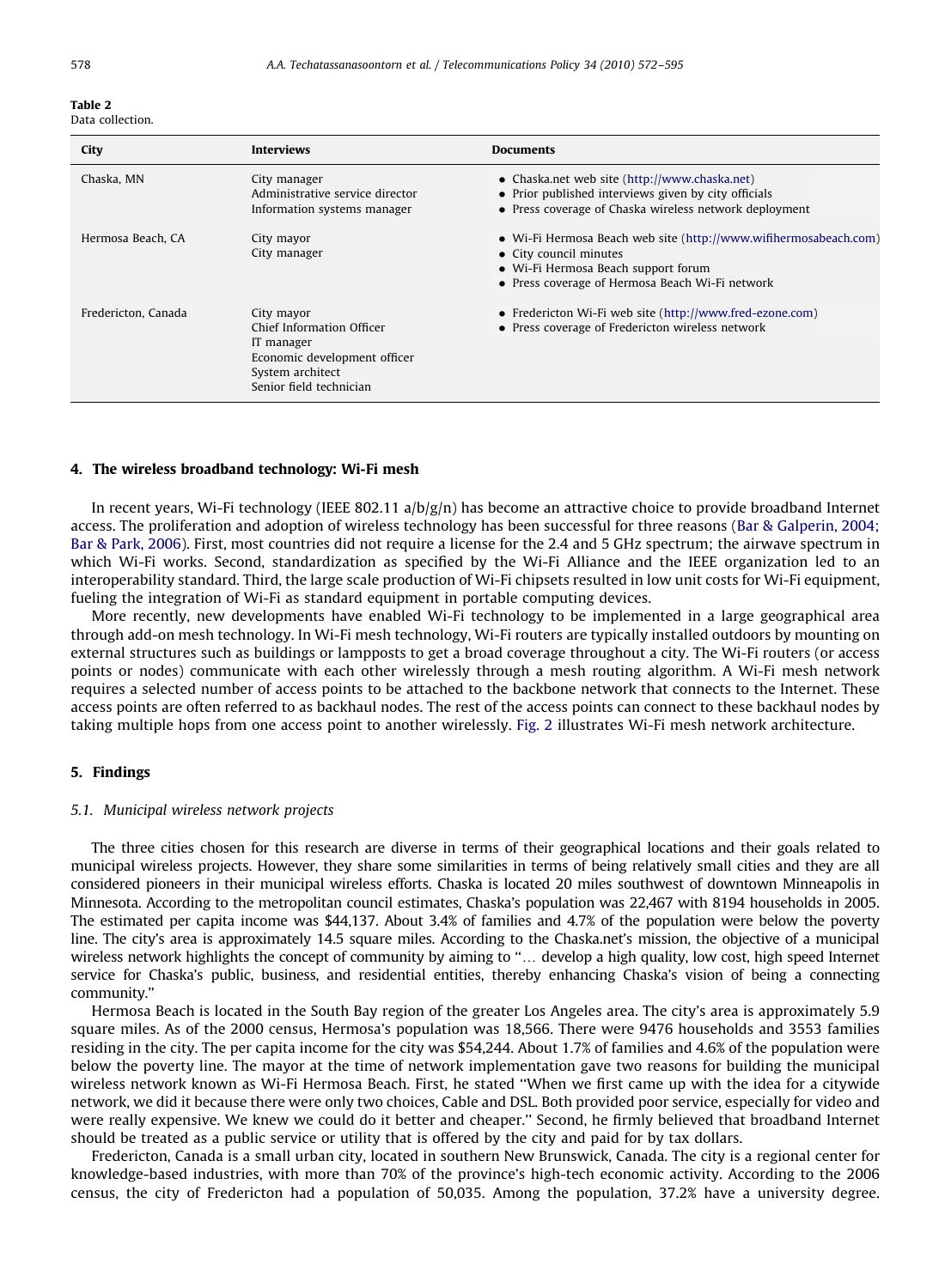<span id="page-6-0"></span>

|  |  | Data collection. |
|--|--|------------------|
|--|--|------------------|

| City                | <b>Interviews</b>                                                                                                                    | <b>Documents</b>                                                                                                                                                                     |
|---------------------|--------------------------------------------------------------------------------------------------------------------------------------|--------------------------------------------------------------------------------------------------------------------------------------------------------------------------------------|
| Chaska, MN          | City manager<br>Administrative service director<br>Information systems manager                                                       | • Chaska.net web site (http://www.chaska.net)<br>• Prior published interviews given by city officials<br>• Press coverage of Chaska wireless network deployment                      |
| Hermosa Beach, CA   | City mayor<br>City manager                                                                                                           | • Wi-Fi Hermosa Beach web site (http://www.wifihermosabeach.com)<br>• City council minutes<br>• Wi-Fi Hermosa Beach support forum<br>• Press coverage of Hermosa Beach Wi-Fi network |
| Fredericton, Canada | City mayor<br>Chief Information Officer<br>IT manager<br>Economic development officer<br>System architect<br>Senior field technician | • Fredericton Wi-Fi web site (http://www.fred-ezone.com)<br>• Press coverage of Fredericton wireless network                                                                         |

### 4. The wireless broadband technology: Wi-Fi mesh

In recent years, Wi-Fi technology (IEEE 802.11 a/b/g/n) has become an attractive choice to provide broadband Internet access. The proliferation and adoption of wireless technology has been successful for three reasons ([Bar & Galperin, 2004;](#page-21-0) [Bar & Park, 2006](#page-21-0)). First, most countries did not require a license for the 2.4 and 5 GHz spectrum; the airwave spectrum in which Wi-Fi works. Second, standardization as specified by the Wi-Fi Alliance and the IEEE organization led to an interoperability standard. Third, the large scale production of Wi-Fi chipsets resulted in low unit costs for Wi-Fi equipment, fueling the integration of Wi-Fi as standard equipment in portable computing devices.

More recently, new developments have enabled Wi-Fi technology to be implemented in a large geographical area through add-on mesh technology. In Wi-Fi mesh technology, Wi-Fi routers are typically installed outdoors by mounting on external structures such as buildings or lampposts to get a broad coverage throughout a city. The Wi-Fi routers (or access points or nodes) communicate with each other wirelessly through a mesh routing algorithm. A Wi-Fi mesh network requires a selected number of access points to be attached to the backbone network that connects to the Internet. These access points are often referred to as backhaul nodes. The rest of the access points can connect to these backhaul nodes by taking multiple hops from one access point to another wirelessly. [Fig. 2](#page-7-0) illustrates Wi-Fi mesh network architecture.

### 5. Findings

#### 5.1. Municipal wireless network projects

The three cities chosen for this research are diverse in terms of their geographical locations and their goals related to municipal wireless projects. However, they share some similarities in terms of being relatively small cities and they are all considered pioneers in their municipal wireless efforts. Chaska is located 20 miles southwest of downtown Minneapolis in Minnesota. According to the metropolitan council estimates, Chaska's population was 22,467 with 8194 households in 2005. The estimated per capita income was \$44,137. About 3.4% of families and 4.7% of the population were below the poverty line. The city's area is approximately 14.5 square miles. According to the Chaska.net's mission, the objective of a municipal wireless network highlights the concept of community by aiming to "... develop a high quality, low cost, high speed Internet service for Chaska's public, business, and residential entities, thereby enhancing Chaska's vision of being a connecting community.''

Hermosa Beach is located in the South Bay region of the greater Los Angeles area. The city's area is approximately 5.9 square miles. As of the 2000 census, Hermosa's population was 18,566. There were 9476 households and 3553 families residing in the city. The per capita income for the city was \$54,244. About 1.7% of families and 4.6% of the population were below the poverty line. The mayor at the time of network implementation gave two reasons for building the municipal wireless network known as Wi-Fi Hermosa Beach. First, he stated ''When we first came up with the idea for a citywide network, we did it because there were only two choices, Cable and DSL. Both provided poor service, especially for video and were really expensive. We knew we could do it better and cheaper.'' Second, he firmly believed that broadband Internet should be treated as a public service or utility that is offered by the city and paid for by tax dollars.

Fredericton, Canada is a small urban city, located in southern New Brunswick, Canada. The city is a regional center for knowledge-based industries, with more than 70% of the province's high-tech economic activity. According to the 2006 census, the city of Fredericton had a population of 50,035. Among the population, 37.2% have a university degree.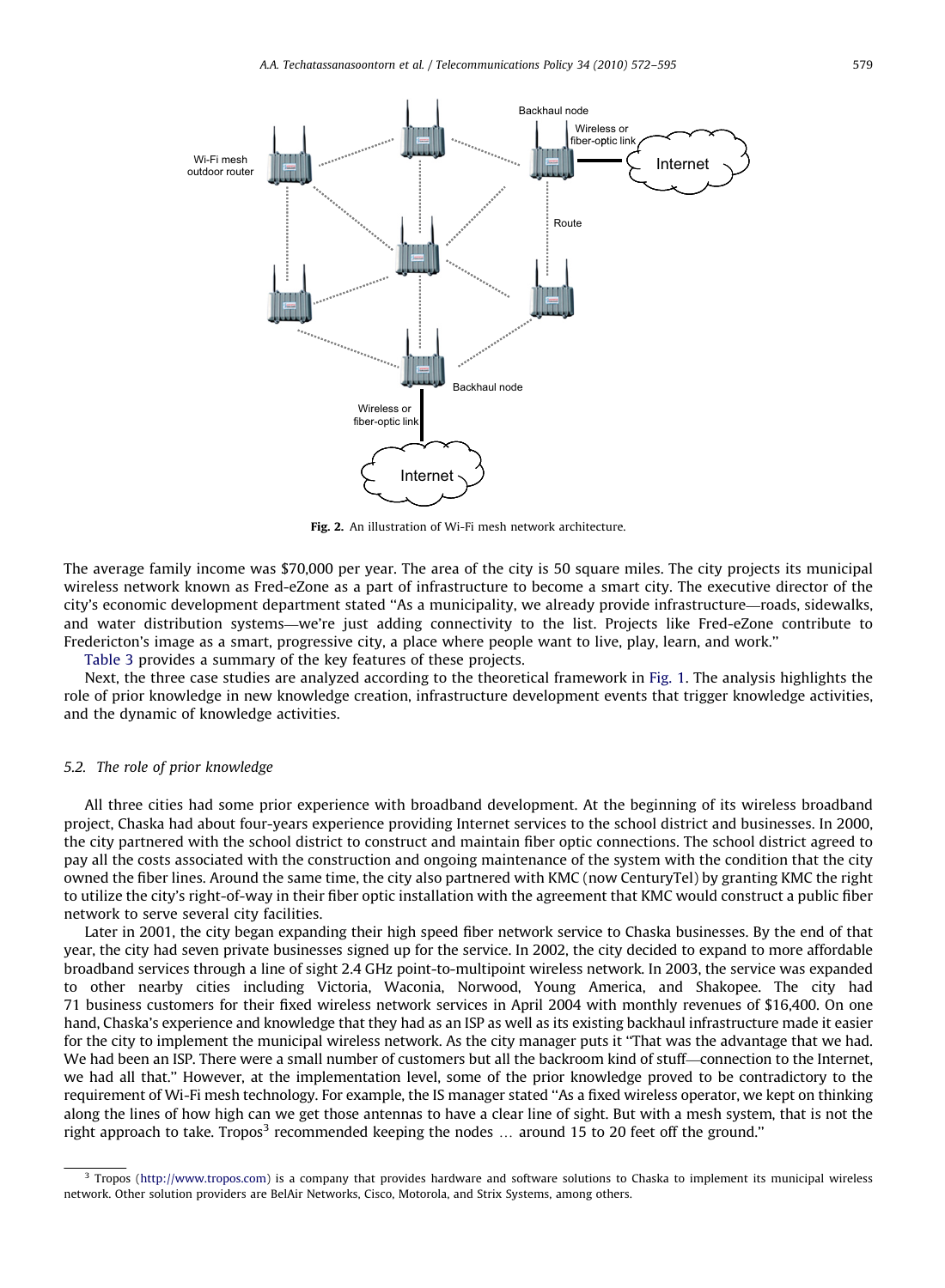<span id="page-7-0"></span>

Fig. 2. An illustration of Wi-Fi mesh network architecture.

The average family income was \$70,000 per year. The area of the city is 50 square miles. The city projects its municipal wireless network known as Fred-eZone as a part of infrastructure to become a smart city. The executive director of the city's economic development department stated ''As a municipality, we already provide infrastructure—roads, sidewalks, and water distribution systems—we're just adding connectivity to the list. Projects like Fred-eZone contribute to Fredericton's image as a smart, progressive city, a place where people want to live, play, learn, and work.''

[Table 3](#page-8-0) provides a summary of the key features of these projects.

Next, the three case studies are analyzed according to the theoretical framework in [Fig. 1.](#page-3-0) The analysis highlights the role of prior knowledge in new knowledge creation, infrastructure development events that trigger knowledge activities, and the dynamic of knowledge activities.

#### 5.2. The role of prior knowledge

All three cities had some prior experience with broadband development. At the beginning of its wireless broadband project, Chaska had about four-years experience providing Internet services to the school district and businesses. In 2000, the city partnered with the school district to construct and maintain fiber optic connections. The school district agreed to pay all the costs associated with the construction and ongoing maintenance of the system with the condition that the city owned the fiber lines. Around the same time, the city also partnered with KMC (now CenturyTel) by granting KMC the right to utilize the city's right-of-way in their fiber optic installation with the agreement that KMC would construct a public fiber network to serve several city facilities.

Later in 2001, the city began expanding their high speed fiber network service to Chaska businesses. By the end of that year, the city had seven private businesses signed up for the service. In 2002, the city decided to expand to more affordable broadband services through a line of sight 2.4 GHz point-to-multipoint wireless network. In 2003, the service was expanded to other nearby cities including Victoria, Waconia, Norwood, Young America, and Shakopee. The city had 71 business customers for their fixed wireless network services in April 2004 with monthly revenues of \$16,400. On one hand, Chaska's experience and knowledge that they had as an ISP as well as its existing backhaul infrastructure made it easier for the city to implement the municipal wireless network. As the city manager puts it ''That was the advantage that we had. We had been an ISP. There were a small number of customers but all the backroom kind of stuff—connection to the Internet, we had all that.'' However, at the implementation level, some of the prior knowledge proved to be contradictory to the requirement of Wi-Fi mesh technology. For example, the IS manager stated ''As a fixed wireless operator, we kept on thinking along the lines of how high can we get those antennas to have a clear line of sight. But with a mesh system, that is not the right approach to take. Tropos<sup>3</sup> recommended keeping the nodes  $\ldots$  around 15 to 20 feet off the ground."

 $3$  Tropos ([http://www.tropos.com\)](http://www.tropos.com) is a company that provides hardware and software solutions to Chaska to implement its municipal wireless network. Other solution providers are BelAir Networks, Cisco, Motorola, and Strix Systems, among others.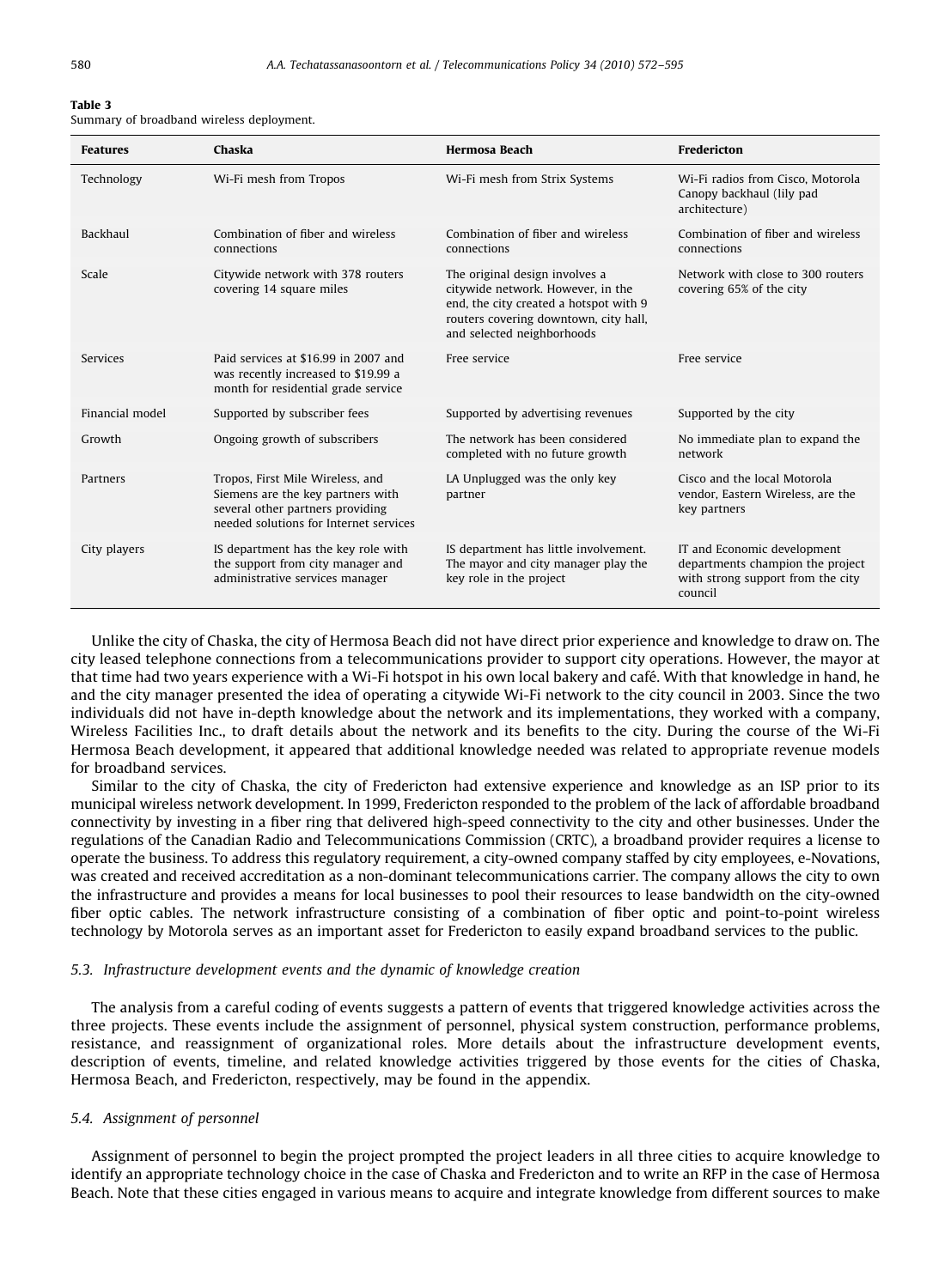<span id="page-8-0"></span>

|  |  |  |  | Summary of broadband wireless deployment. |  |  |  |
|--|--|--|--|-------------------------------------------|--|--|--|
|--|--|--|--|-------------------------------------------|--|--|--|

| <b>Features</b> | Chaska                                                                                                                                              | <b>Hermosa Beach</b>                                                                                                                                                                 | Fredericton                                                                                                     |
|-----------------|-----------------------------------------------------------------------------------------------------------------------------------------------------|--------------------------------------------------------------------------------------------------------------------------------------------------------------------------------------|-----------------------------------------------------------------------------------------------------------------|
| Technology      | Wi-Fi mesh from Tropos                                                                                                                              | Wi-Fi mesh from Strix Systems                                                                                                                                                        | Wi-Fi radios from Cisco, Motorola<br>Canopy backhaul (lily pad<br>architecture)                                 |
| Backhaul        | Combination of fiber and wireless<br>connections                                                                                                    | Combination of fiber and wireless<br>connections                                                                                                                                     | Combination of fiber and wireless<br>connections                                                                |
| Scale           | Citywide network with 378 routers<br>covering 14 square miles                                                                                       | The original design involves a<br>citywide network. However, in the<br>end, the city created a hotspot with 9<br>routers covering downtown, city hall,<br>and selected neighborhoods | Network with close to 300 routers<br>covering 65% of the city                                                   |
| Services        | Paid services at \$16.99 in 2007 and<br>was recently increased to \$19.99 a<br>month for residential grade service                                  | Free service                                                                                                                                                                         | Free service                                                                                                    |
| Financial model | Supported by subscriber fees                                                                                                                        | Supported by advertising revenues                                                                                                                                                    | Supported by the city                                                                                           |
| Growth          | Ongoing growth of subscribers                                                                                                                       | The network has been considered<br>completed with no future growth                                                                                                                   | No immediate plan to expand the<br>network                                                                      |
| Partners        | Tropos, First Mile Wireless, and<br>Siemens are the key partners with<br>several other partners providing<br>needed solutions for Internet services | LA Unplugged was the only key<br>partner                                                                                                                                             | Cisco and the local Motorola<br>vendor, Eastern Wireless, are the<br>key partners                               |
| City players    | IS department has the key role with<br>the support from city manager and<br>administrative services manager                                         | IS department has little involvement.<br>The mayor and city manager play the<br>key role in the project                                                                              | IT and Economic development<br>departments champion the project<br>with strong support from the city<br>council |

Unlike the city of Chaska, the city of Hermosa Beach did not have direct prior experience and knowledge to draw on. The city leased telephone connections from a telecommunications provider to support city operations. However, the mayor at that time had two years experience with a Wi-Fi hotspot in his own local bakery and café. With that knowledge in hand, he and the city manager presented the idea of operating a citywide Wi-Fi network to the city council in 2003. Since the two individuals did not have in-depth knowledge about the network and its implementations, they worked with a company, Wireless Facilities Inc., to draft details about the network and its benefits to the city. During the course of the Wi-Fi Hermosa Beach development, it appeared that additional knowledge needed was related to appropriate revenue models for broadband services.

Similar to the city of Chaska, the city of Fredericton had extensive experience and knowledge as an ISP prior to its municipal wireless network development. In 1999, Fredericton responded to the problem of the lack of affordable broadband connectivity by investing in a fiber ring that delivered high-speed connectivity to the city and other businesses. Under the regulations of the Canadian Radio and Telecommunications Commission (CRTC), a broadband provider requires a license to operate the business. To address this regulatory requirement, a city-owned company staffed by city employees, e-Novations, was created and received accreditation as a non-dominant telecommunications carrier. The company allows the city to own the infrastructure and provides a means for local businesses to pool their resources to lease bandwidth on the city-owned fiber optic cables. The network infrastructure consisting of a combination of fiber optic and point-to-point wireless technology by Motorola serves as an important asset for Fredericton to easily expand broadband services to the public.

# 5.3. Infrastructure development events and the dynamic of knowledge creation

The analysis from a careful coding of events suggests a pattern of events that triggered knowledge activities across the three projects. These events include the assignment of personnel, physical system construction, performance problems, resistance, and reassignment of organizational roles. More details about the infrastructure development events, description of events, timeline, and related knowledge activities triggered by those events for the cities of Chaska, Hermosa Beach, and Fredericton, respectively, may be found in the appendix.

#### 5.4. Assignment of personnel

Assignment of personnel to begin the project prompted the project leaders in all three cities to acquire knowledge to identify an appropriate technology choice in the case of Chaska and Fredericton and to write an RFP in the case of Hermosa Beach. Note that these cities engaged in various means to acquire and integrate knowledge from different sources to make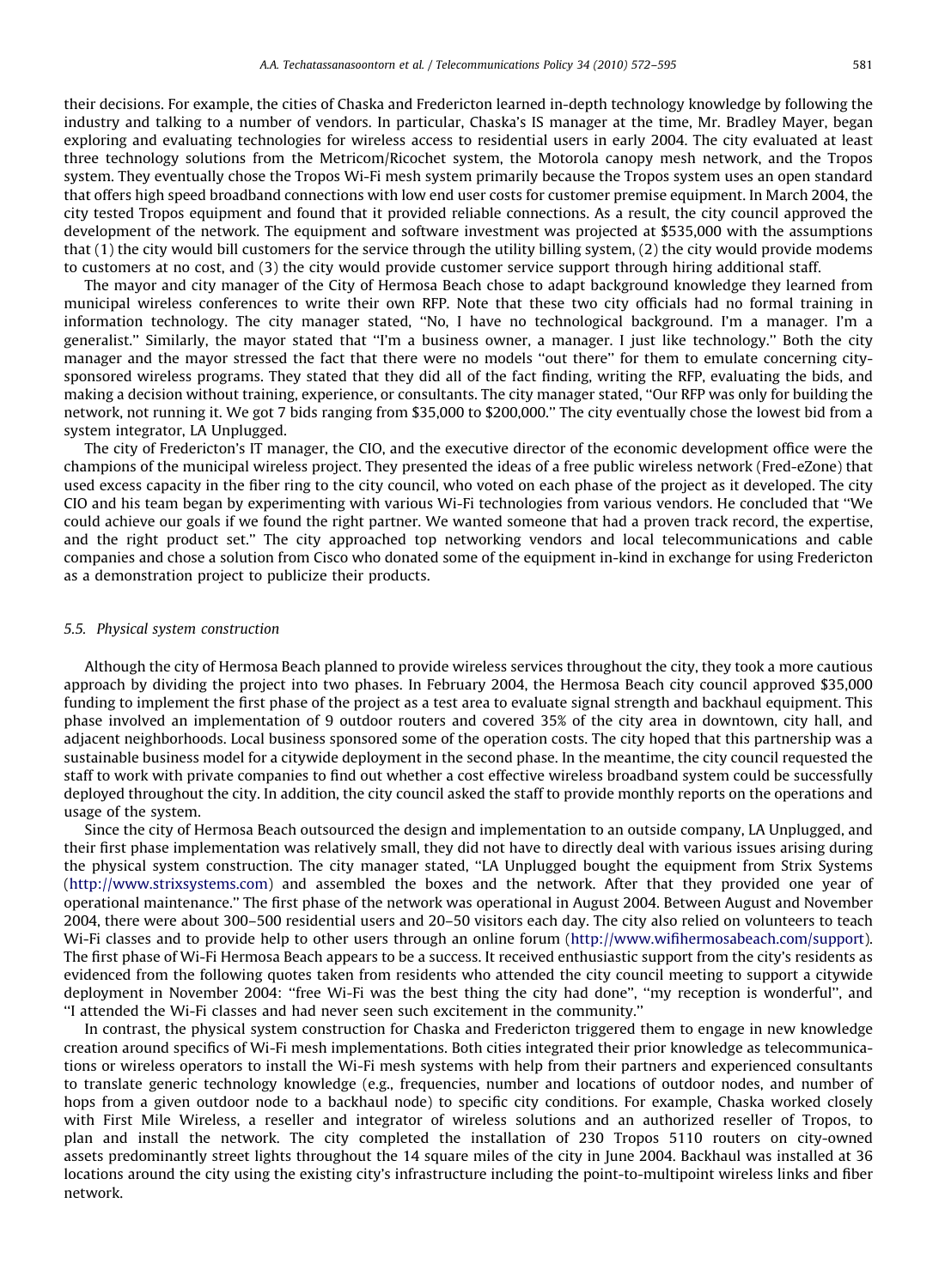their decisions. For example, the cities of Chaska and Fredericton learned in-depth technology knowledge by following the industry and talking to a number of vendors. In particular, Chaska's IS manager at the time, Mr. Bradley Mayer, began exploring and evaluating technologies for wireless access to residential users in early 2004. The city evaluated at least three technology solutions from the Metricom/Ricochet system, the Motorola canopy mesh network, and the Tropos system. They eventually chose the Tropos Wi-Fi mesh system primarily because the Tropos system uses an open standard that offers high speed broadband connections with low end user costs for customer premise equipment. In March 2004, the city tested Tropos equipment and found that it provided reliable connections. As a result, the city council approved the development of the network. The equipment and software investment was projected at \$535,000 with the assumptions that (1) the city would bill customers for the service through the utility billing system, (2) the city would provide modems to customers at no cost, and (3) the city would provide customer service support through hiring additional staff.

The mayor and city manager of the City of Hermosa Beach chose to adapt background knowledge they learned from municipal wireless conferences to write their own RFP. Note that these two city officials had no formal training in information technology. The city manager stated, ''No, I have no technological background. I'm a manager. I'm a generalist.'' Similarly, the mayor stated that ''I'm a business owner, a manager. I just like technology.'' Both the city manager and the mayor stressed the fact that there were no models ''out there'' for them to emulate concerning citysponsored wireless programs. They stated that they did all of the fact finding, writing the RFP, evaluating the bids, and making a decision without training, experience, or consultants. The city manager stated, ''Our RFP was only for building the network, not running it. We got 7 bids ranging from \$35,000 to \$200,000.'' The city eventually chose the lowest bid from a system integrator, LA Unplugged.

The city of Fredericton's IT manager, the CIO, and the executive director of the economic development office were the champions of the municipal wireless project. They presented the ideas of a free public wireless network (Fred-eZone) that used excess capacity in the fiber ring to the city council, who voted on each phase of the project as it developed. The city CIO and his team began by experimenting with various Wi-Fi technologies from various vendors. He concluded that ''We could achieve our goals if we found the right partner. We wanted someone that had a proven track record, the expertise, and the right product set.'' The city approached top networking vendors and local telecommunications and cable companies and chose a solution from Cisco who donated some of the equipment in-kind in exchange for using Fredericton as a demonstration project to publicize their products.

#### 5.5. Physical system construction

Although the city of Hermosa Beach planned to provide wireless services throughout the city, they took a more cautious approach by dividing the project into two phases. In February 2004, the Hermosa Beach city council approved \$35,000 funding to implement the first phase of the project as a test area to evaluate signal strength and backhaul equipment. This phase involved an implementation of 9 outdoor routers and covered 35% of the city area in downtown, city hall, and adjacent neighborhoods. Local business sponsored some of the operation costs. The city hoped that this partnership was a sustainable business model for a citywide deployment in the second phase. In the meantime, the city council requested the staff to work with private companies to find out whether a cost effective wireless broadband system could be successfully deployed throughout the city. In addition, the city council asked the staff to provide monthly reports on the operations and usage of the system.

Since the city of Hermosa Beach outsourced the design and implementation to an outside company, LA Unplugged, and their first phase implementation was relatively small, they did not have to directly deal with various issues arising during the physical system construction. The city manager stated, ''LA Unplugged bought the equipment from Strix Systems (<http://www.strixsystems.com>) and assembled the boxes and the network. After that they provided one year of operational maintenance.'' The first phase of the network was operational in August 2004. Between August and November 2004, there were about 300–500 residential users and 20–50 visitors each day. The city also relied on volunteers to teach Wi-Fi classes and to provide help to other users through an online forum (<http://www.wifihermosabeach.com/support>). The first phase of Wi-Fi Hermosa Beach appears to be a success. It received enthusiastic support from the city's residents as evidenced from the following quotes taken from residents who attended the city council meeting to support a citywide deployment in November 2004: ''free Wi-Fi was the best thing the city had done'', ''my reception is wonderful'', and ''I attended the Wi-Fi classes and had never seen such excitement in the community.''

In contrast, the physical system construction for Chaska and Fredericton triggered them to engage in new knowledge creation around specifics of Wi-Fi mesh implementations. Both cities integrated their prior knowledge as telecommunications or wireless operators to install the Wi-Fi mesh systems with help from their partners and experienced consultants to translate generic technology knowledge (e.g., frequencies, number and locations of outdoor nodes, and number of hops from a given outdoor node to a backhaul node) to specific city conditions. For example, Chaska worked closely with First Mile Wireless, a reseller and integrator of wireless solutions and an authorized reseller of Tropos, to plan and install the network. The city completed the installation of 230 Tropos 5110 routers on city-owned assets predominantly street lights throughout the 14 square miles of the city in June 2004. Backhaul was installed at 36 locations around the city using the existing city's infrastructure including the point-to-multipoint wireless links and fiber network.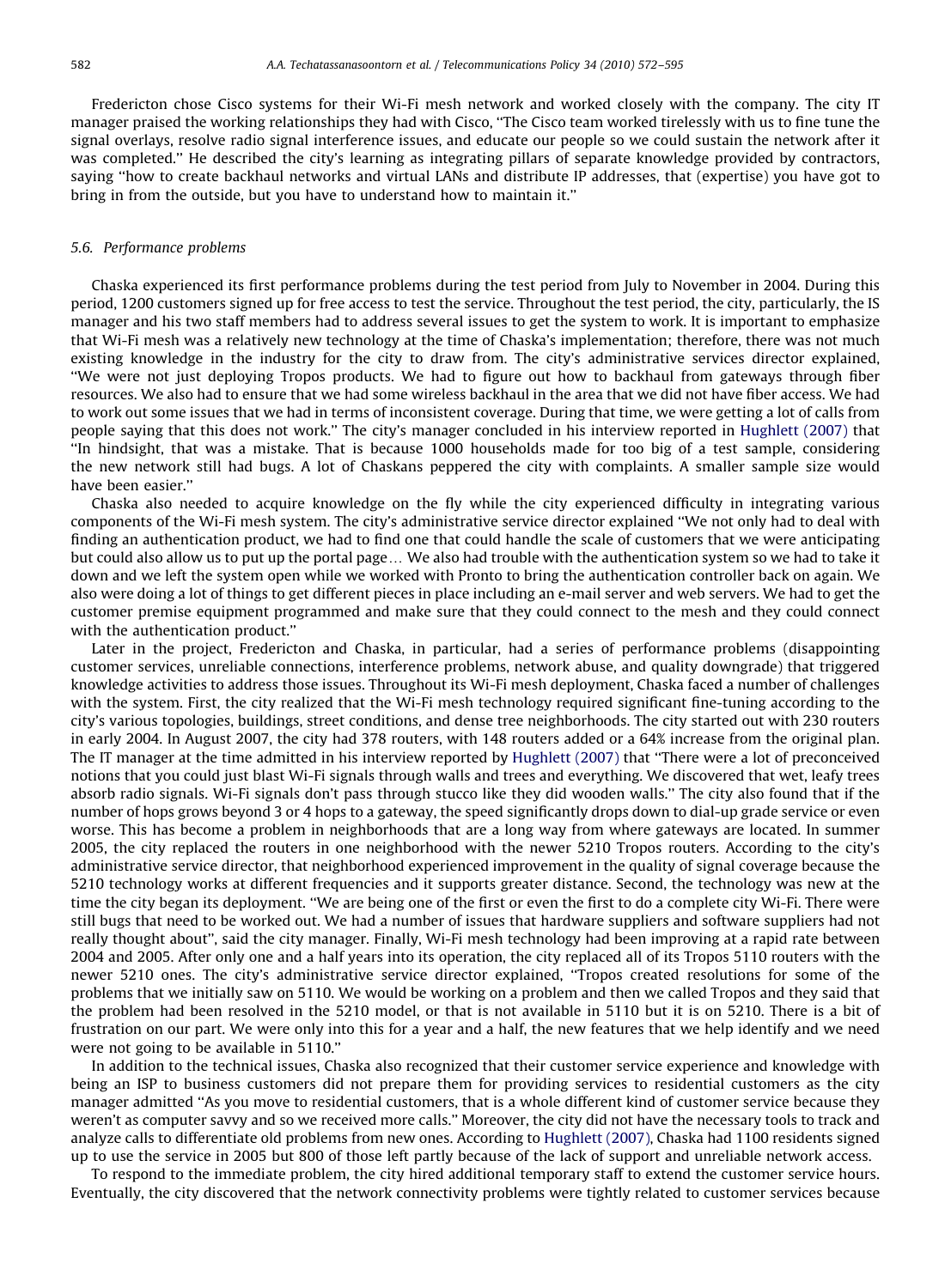Fredericton chose Cisco systems for their Wi-Fi mesh network and worked closely with the company. The city IT manager praised the working relationships they had with Cisco, ''The Cisco team worked tirelessly with us to fine tune the signal overlays, resolve radio signal interference issues, and educate our people so we could sustain the network after it was completed.'' He described the city's learning as integrating pillars of separate knowledge provided by contractors, saying ''how to create backhaul networks and virtual LANs and distribute IP addresses, that (expertise) you have got to bring in from the outside, but you have to understand how to maintain it.''

#### 5.6. Performance problems

Chaska experienced its first performance problems during the test period from July to November in 2004. During this period, 1200 customers signed up for free access to test the service. Throughout the test period, the city, particularly, the IS manager and his two staff members had to address several issues to get the system to work. It is important to emphasize that Wi-Fi mesh was a relatively new technology at the time of Chaska's implementation; therefore, there was not much existing knowledge in the industry for the city to draw from. The city's administrative services director explained, ''We were not just deploying Tropos products. We had to figure out how to backhaul from gateways through fiber resources. We also had to ensure that we had some wireless backhaul in the area that we did not have fiber access. We had to work out some issues that we had in terms of inconsistent coverage. During that time, we were getting a lot of calls from people saying that this does not work.'' The city's manager concluded in his interview reported in [Hughlett \(2007\)](#page-22-0) that ''In hindsight, that was a mistake. That is because 1000 households made for too big of a test sample, considering the new network still had bugs. A lot of Chaskans peppered the city with complaints. A smaller sample size would have been easier.''

Chaska also needed to acquire knowledge on the fly while the city experienced difficulty in integrating various components of the Wi-Fi mesh system. The city's administrative service director explained ''We not only had to deal with finding an authentication product, we had to find one that could handle the scale of customers that we were anticipating but could also allow us to put up the portal page... We also had trouble with the authentication system so we had to take it down and we left the system open while we worked with Pronto to bring the authentication controller back on again. We also were doing a lot of things to get different pieces in place including an e-mail server and web servers. We had to get the customer premise equipment programmed and make sure that they could connect to the mesh and they could connect with the authentication product.''

Later in the project, Fredericton and Chaska, in particular, had a series of performance problems (disappointing customer services, unreliable connections, interference problems, network abuse, and quality downgrade) that triggered knowledge activities to address those issues. Throughout its Wi-Fi mesh deployment, Chaska faced a number of challenges with the system. First, the city realized that the Wi-Fi mesh technology required significant fine-tuning according to the city's various topologies, buildings, street conditions, and dense tree neighborhoods. The city started out with 230 routers in early 2004. In August 2007, the city had 378 routers, with 148 routers added or a 64% increase from the original plan. The IT manager at the time admitted in his interview reported by [Hughlett \(2007\)](#page-22-0) that ''There were a lot of preconceived notions that you could just blast Wi-Fi signals through walls and trees and everything. We discovered that wet, leafy trees absorb radio signals. Wi-Fi signals don't pass through stucco like they did wooden walls.'' The city also found that if the number of hops grows beyond 3 or 4 hops to a gateway, the speed significantly drops down to dial-up grade service or even worse. This has become a problem in neighborhoods that are a long way from where gateways are located. In summer 2005, the city replaced the routers in one neighborhood with the newer 5210 Tropos routers. According to the city's administrative service director, that neighborhood experienced improvement in the quality of signal coverage because the 5210 technology works at different frequencies and it supports greater distance. Second, the technology was new at the time the city began its deployment. ''We are being one of the first or even the first to do a complete city Wi-Fi. There were still bugs that need to be worked out. We had a number of issues that hardware suppliers and software suppliers had not really thought about'', said the city manager. Finally, Wi-Fi mesh technology had been improving at a rapid rate between 2004 and 2005. After only one and a half years into its operation, the city replaced all of its Tropos 5110 routers with the newer 5210 ones. The city's administrative service director explained, ''Tropos created resolutions for some of the problems that we initially saw on 5110. We would be working on a problem and then we called Tropos and they said that the problem had been resolved in the 5210 model, or that is not available in 5110 but it is on 5210. There is a bit of frustration on our part. We were only into this for a year and a half, the new features that we help identify and we need were not going to be available in 5110.''

In addition to the technical issues, Chaska also recognized that their customer service experience and knowledge with being an ISP to business customers did not prepare them for providing services to residential customers as the city manager admitted ''As you move to residential customers, that is a whole different kind of customer service because they weren't as computer savvy and so we received more calls.'' Moreover, the city did not have the necessary tools to track and analyze calls to differentiate old problems from new ones. According to [Hughlett \(2007\),](#page-22-0) Chaska had 1100 residents signed up to use the service in 2005 but 800 of those left partly because of the lack of support and unreliable network access.

To respond to the immediate problem, the city hired additional temporary staff to extend the customer service hours. Eventually, the city discovered that the network connectivity problems were tightly related to customer services because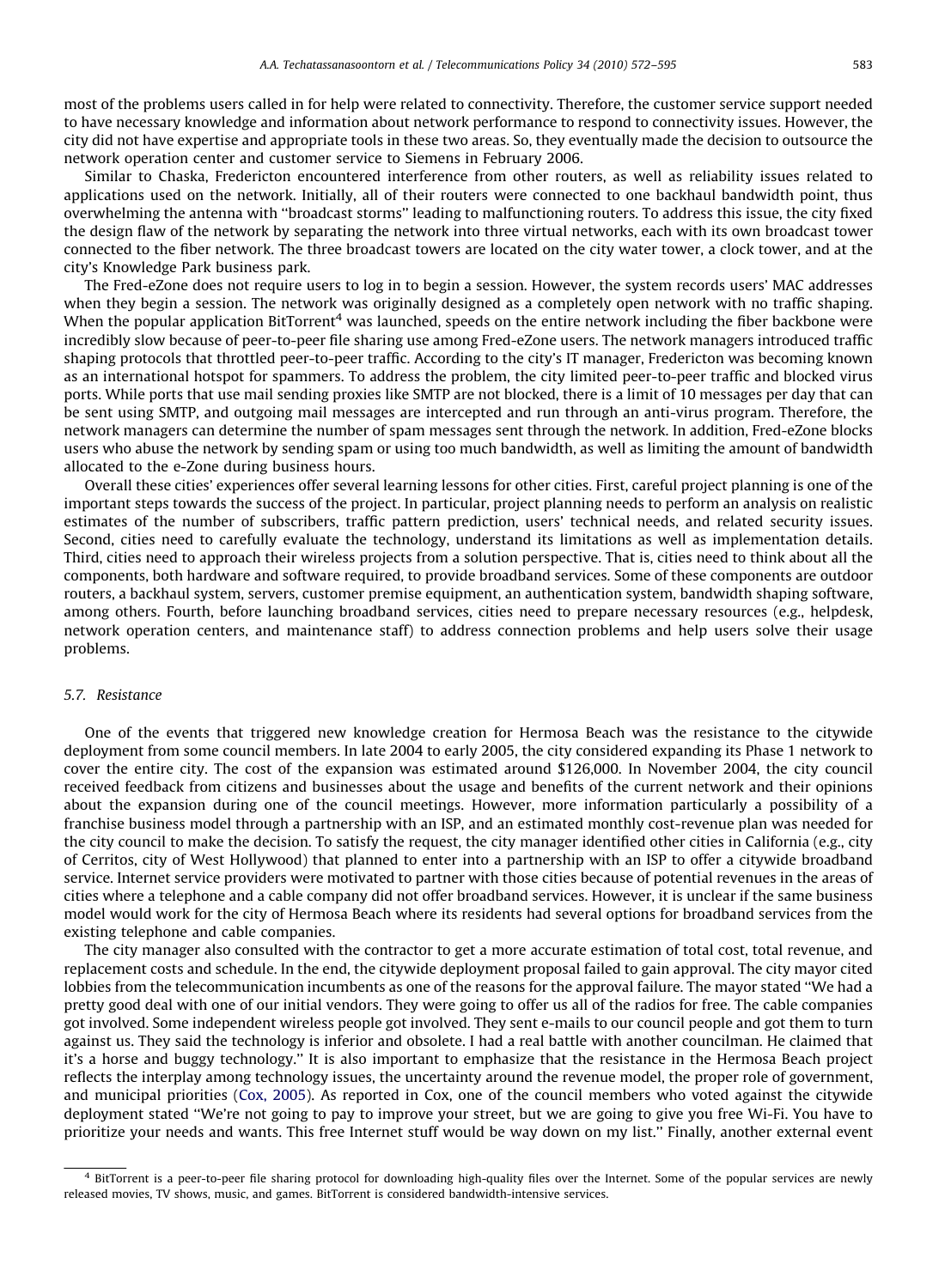most of the problems users called in for help were related to connectivity. Therefore, the customer service support needed to have necessary knowledge and information about network performance to respond to connectivity issues. However, the city did not have expertise and appropriate tools in these two areas. So, they eventually made the decision to outsource the network operation center and customer service to Siemens in February 2006.

Similar to Chaska, Fredericton encountered interference from other routers, as well as reliability issues related to applications used on the network. Initially, all of their routers were connected to one backhaul bandwidth point, thus overwhelming the antenna with ''broadcast storms'' leading to malfunctioning routers. To address this issue, the city fixed the design flaw of the network by separating the network into three virtual networks, each with its own broadcast tower connected to the fiber network. The three broadcast towers are located on the city water tower, a clock tower, and at the city's Knowledge Park business park.

The Fred-eZone does not require users to log in to begin a session. However, the system records users' MAC addresses when they begin a session. The network was originally designed as a completely open network with no traffic shaping. When the popular application BitTorrent<sup>4</sup> was launched, speeds on the entire network including the fiber backbone were incredibly slow because of peer-to-peer file sharing use among Fred-eZone users. The network managers introduced traffic shaping protocols that throttled peer-to-peer traffic. According to the city's IT manager, Fredericton was becoming known as an international hotspot for spammers. To address the problem, the city limited peer-to-peer traffic and blocked virus ports. While ports that use mail sending proxies like SMTP are not blocked, there is a limit of 10 messages per day that can be sent using SMTP, and outgoing mail messages are intercepted and run through an anti-virus program. Therefore, the network managers can determine the number of spam messages sent through the network. In addition, Fred-eZone blocks users who abuse the network by sending spam or using too much bandwidth, as well as limiting the amount of bandwidth allocated to the e-Zone during business hours.

Overall these cities' experiences offer several learning lessons for other cities. First, careful project planning is one of the important steps towards the success of the project. In particular, project planning needs to perform an analysis on realistic estimates of the number of subscribers, traffic pattern prediction, users' technical needs, and related security issues. Second, cities need to carefully evaluate the technology, understand its limitations as well as implementation details. Third, cities need to approach their wireless projects from a solution perspective. That is, cities need to think about all the components, both hardware and software required, to provide broadband services. Some of these components are outdoor routers, a backhaul system, servers, customer premise equipment, an authentication system, bandwidth shaping software, among others. Fourth, before launching broadband services, cities need to prepare necessary resources (e.g., helpdesk, network operation centers, and maintenance staff) to address connection problems and help users solve their usage problems.

#### 5.7. Resistance

One of the events that triggered new knowledge creation for Hermosa Beach was the resistance to the citywide deployment from some council members. In late 2004 to early 2005, the city considered expanding its Phase 1 network to cover the entire city. The cost of the expansion was estimated around \$126,000. In November 2004, the city council received feedback from citizens and businesses about the usage and benefits of the current network and their opinions about the expansion during one of the council meetings. However, more information particularly a possibility of a franchise business model through a partnership with an ISP, and an estimated monthly cost-revenue plan was needed for the city council to make the decision. To satisfy the request, the city manager identified other cities in California (e.g., city of Cerritos, city of West Hollywood) that planned to enter into a partnership with an ISP to offer a citywide broadband service. Internet service providers were motivated to partner with those cities because of potential revenues in the areas of cities where a telephone and a cable company did not offer broadband services. However, it is unclear if the same business model would work for the city of Hermosa Beach where its residents had several options for broadband services from the existing telephone and cable companies.

The city manager also consulted with the contractor to get a more accurate estimation of total cost, total revenue, and replacement costs and schedule. In the end, the citywide deployment proposal failed to gain approval. The city mayor cited lobbies from the telecommunication incumbents as one of the reasons for the approval failure. The mayor stated ''We had a pretty good deal with one of our initial vendors. They were going to offer us all of the radios for free. The cable companies got involved. Some independent wireless people got involved. They sent e-mails to our council people and got them to turn against us. They said the technology is inferior and obsolete. I had a real battle with another councilman. He claimed that it's a horse and buggy technology.'' It is also important to emphasize that the resistance in the Hermosa Beach project reflects the interplay among technology issues, the uncertainty around the revenue model, the proper role of government, and municipal priorities ([Cox, 2005](#page-22-0)). As reported in Cox, one of the council members who voted against the citywide deployment stated ''We're not going to pay to improve your street, but we are going to give you free Wi-Fi. You have to prioritize your needs and wants. This free Internet stuff would be way down on my list.'' Finally, another external event

<sup>&</sup>lt;sup>4</sup> BitTorrent is a peer-to-peer file sharing protocol for downloading high-quality files over the Internet. Some of the popular services are newly released movies, TV shows, music, and games. BitTorrent is considered bandwidth-intensive services.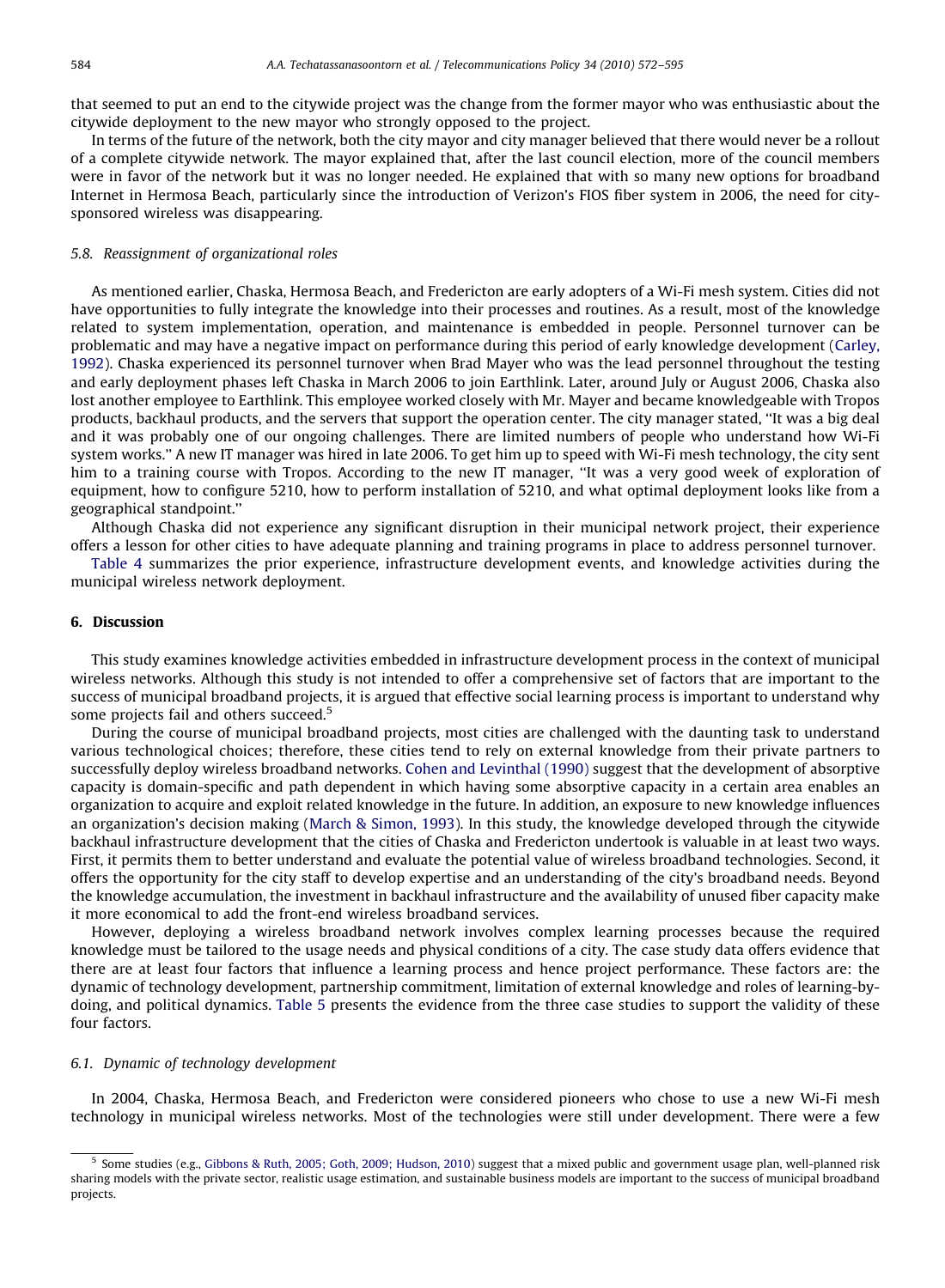that seemed to put an end to the citywide project was the change from the former mayor who was enthusiastic about the citywide deployment to the new mayor who strongly opposed to the project.

In terms of the future of the network, both the city mayor and city manager believed that there would never be a rollout of a complete citywide network. The mayor explained that, after the last council election, more of the council members were in favor of the network but it was no longer needed. He explained that with so many new options for broadband Internet in Hermosa Beach, particularly since the introduction of Verizon's FIOS fiber system in 2006, the need for citysponsored wireless was disappearing.

#### 5.8. Reassignment of organizational roles

As mentioned earlier, Chaska, Hermosa Beach, and Fredericton are early adopters of a Wi-Fi mesh system. Cities did not have opportunities to fully integrate the knowledge into their processes and routines. As a result, most of the knowledge related to system implementation, operation, and maintenance is embedded in people. Personnel turnover can be problematic and may have a negative impact on performance during this period of early knowledge development [\(Carley,](#page-22-0) [1992](#page-22-0)). Chaska experienced its personnel turnover when Brad Mayer who was the lead personnel throughout the testing and early deployment phases left Chaska in March 2006 to join Earthlink. Later, around July or August 2006, Chaska also lost another employee to Earthlink. This employee worked closely with Mr. Mayer and became knowledgeable with Tropos products, backhaul products, and the servers that support the operation center. The city manager stated, ''It was a big deal and it was probably one of our ongoing challenges. There are limited numbers of people who understand how Wi-Fi system works.'' A new IT manager was hired in late 2006. To get him up to speed with Wi-Fi mesh technology, the city sent him to a training course with Tropos. According to the new IT manager, ''It was a very good week of exploration of equipment, how to configure 5210, how to perform installation of 5210, and what optimal deployment looks like from a geographical standpoint.''

Although Chaska did not experience any significant disruption in their municipal network project, their experience offers a lesson for other cities to have adequate planning and training programs in place to address personnel turnover.

[Table 4](#page-13-0) summarizes the prior experience, infrastructure development events, and knowledge activities during the municipal wireless network deployment.

#### 6. Discussion

This study examines knowledge activities embedded in infrastructure development process in the context of municipal wireless networks. Although this study is not intended to offer a comprehensive set of factors that are important to the success of municipal broadband projects, it is argued that effective social learning process is important to understand why some projects fail and others succeed.<sup>5</sup>

During the course of municipal broadband projects, most cities are challenged with the daunting task to understand various technological choices; therefore, these cities tend to rely on external knowledge from their private partners to successfully deploy wireless broadband networks. [Cohen and Levinthal \(1990\)](#page-22-0) suggest that the development of absorptive capacity is domain-specific and path dependent in which having some absorptive capacity in a certain area enables an organization to acquire and exploit related knowledge in the future. In addition, an exposure to new knowledge influences an organization's decision making [\(March](#page-22-0) [& Simon, 1993](#page-22-0)). In this study, the knowledge developed through the citywide backhaul infrastructure development that the cities of Chaska and Fredericton undertook is valuable in at least two ways. First, it permits them to better understand and evaluate the potential value of wireless broadband technologies. Second, it offers the opportunity for the city staff to develop expertise and an understanding of the city's broadband needs. Beyond the knowledge accumulation, the investment in backhaul infrastructure and the availability of unused fiber capacity make it more economical to add the front-end wireless broadband services.

However, deploying a wireless broadband network involves complex learning processes because the required knowledge must be tailored to the usage needs and physical conditions of a city. The case study data offers evidence that there are at least four factors that influence a learning process and hence project performance. These factors are: the dynamic of technology development, partnership commitment, limitation of external knowledge and roles of learning-bydoing, and political dynamics. [Table 5](#page-13-0) presents the evidence from the three case studies to support the validity of these four factors.

#### 6.1. Dynamic of technology development

In 2004, Chaska, Hermosa Beach, and Fredericton were considered pioneers who chose to use a new Wi-Fi mesh technology in municipal wireless networks. Most of the technologies were still under development. There were a few

<sup>&</sup>lt;sup>5</sup> Some studies (e.g., [Gibbons](#page-22-0) & [Ruth, 2005; Goth, 2009; Hudson, 2010](#page-22-0)) suggest that a mixed public and government usage plan, well-planned risk sharing models with the private sector, realistic usage estimation, and sustainable business models are important to the success of municipal broadband projects.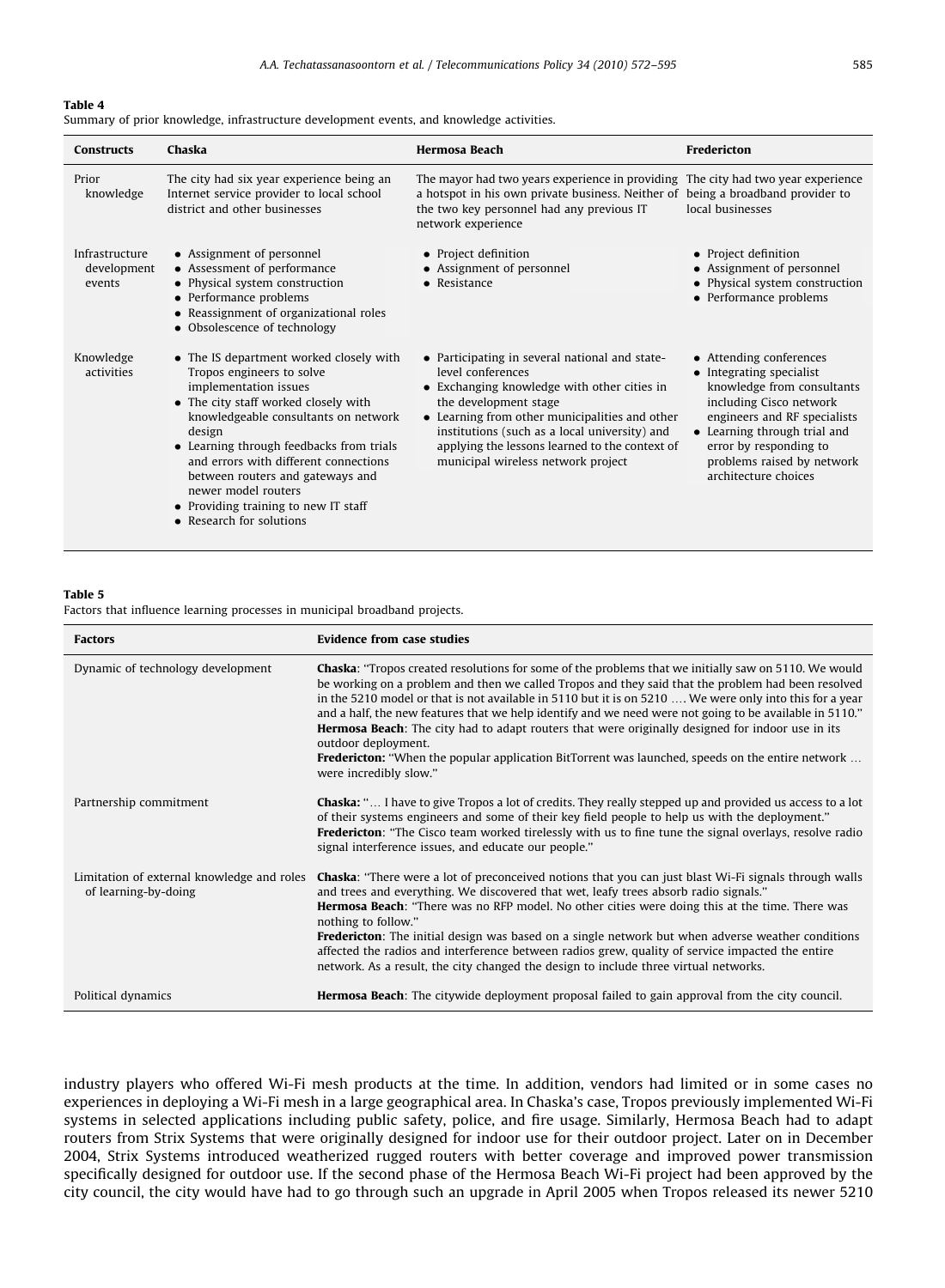<span id="page-13-0"></span>Summary of prior knowledge, infrastructure development events, and knowledge activities.

| <b>Constructs</b>                       | Chaska                                                                                                                                                                                                                                                                                                                                                                                                      | <b>Hermosa Beach</b>                                                                                                                                                                                                                                                                                                                   | Fredericton                                                                                                                                                                                                                                                  |
|-----------------------------------------|-------------------------------------------------------------------------------------------------------------------------------------------------------------------------------------------------------------------------------------------------------------------------------------------------------------------------------------------------------------------------------------------------------------|----------------------------------------------------------------------------------------------------------------------------------------------------------------------------------------------------------------------------------------------------------------------------------------------------------------------------------------|--------------------------------------------------------------------------------------------------------------------------------------------------------------------------------------------------------------------------------------------------------------|
| Prior<br>knowledge                      | The city had six year experience being an<br>Internet service provider to local school<br>district and other businesses                                                                                                                                                                                                                                                                                     | The mayor had two years experience in providing The city had two year experience<br>a hotspot in his own private business. Neither of being a broadband provider to<br>the two key personnel had any previous IT<br>network experience                                                                                                 | local businesses                                                                                                                                                                                                                                             |
| Infrastructure<br>development<br>events | • Assignment of personnel<br>• Assessment of performance<br>• Physical system construction<br>• Performance problems<br>• Reassignment of organizational roles<br>• Obsolescence of technology                                                                                                                                                                                                              | • Project definition<br>• Assignment of personnel<br>$\bullet$ Resistance                                                                                                                                                                                                                                                              | • Project definition<br>• Assignment of personnel<br>• Physical system construction<br>• Performance problems                                                                                                                                                |
| Knowledge<br>activities                 | • The IS department worked closely with<br>Tropos engineers to solve<br>implementation issues<br>• The city staff worked closely with<br>knowledgeable consultants on network<br>design<br>• Learning through feedbacks from trials<br>and errors with different connections<br>between routers and gateways and<br>newer model routers<br>• Providing training to new IT staff<br>• Research for solutions | • Participating in several national and state-<br>level conferences<br>• Exchanging knowledge with other cities in<br>the development stage<br>• Learning from other municipalities and other<br>institutions (such as a local university) and<br>applying the lessons learned to the context of<br>municipal wireless network project | • Attending conferences<br>• Integrating specialist<br>knowledge from consultants<br>including Cisco network<br>engineers and RF specialists<br>• Learning through trial and<br>error by responding to<br>problems raised by network<br>architecture choices |

# Table 5

Factors that influence learning processes in municipal broadband projects.

| <b>Factors</b>                                                     | <b>Evidence from case studies</b>                                                                                                                                                                                                                                                                                                                                                                                                                                                                                                                                                                                                                                                                              |
|--------------------------------------------------------------------|----------------------------------------------------------------------------------------------------------------------------------------------------------------------------------------------------------------------------------------------------------------------------------------------------------------------------------------------------------------------------------------------------------------------------------------------------------------------------------------------------------------------------------------------------------------------------------------------------------------------------------------------------------------------------------------------------------------|
| Dynamic of technology development                                  | <b>Chaska:</b> "Tropos created resolutions for some of the problems that we initially saw on 5110. We would<br>be working on a problem and then we called Tropos and they said that the problem had been resolved<br>in the 5210 model or that is not available in 5110 but it is on 5210  We were only into this for a year<br>and a half, the new features that we help identify and we need were not going to be available in 5110."<br><b>Hermosa Beach:</b> The city had to adapt routers that were originally designed for indoor use in its<br>outdoor deployment.<br><b>Fredericton:</b> "When the popular application BitTorrent was launched, speeds on the entire network<br>were incredibly slow." |
| Partnership commitment                                             | <b>Chaska:</b> " I have to give Tropos a lot of credits. They really stepped up and provided us access to a lot<br>of their systems engineers and some of their key field people to help us with the deployment."<br><b>Fredericton:</b> "The Cisco team worked tirelessly with us to fine tune the signal overlays, resolve radio<br>signal interference issues, and educate our people."                                                                                                                                                                                                                                                                                                                     |
| Limitation of external knowledge and roles<br>of learning-by-doing | <b>Chaska:</b> "There were a lot of preconceived notions that you can just blast Wi-Fi signals through walls<br>and trees and everything. We discovered that wet, leafy trees absorb radio signals."<br>Hermosa Beach: "There was no RFP model. No other cities were doing this at the time. There was<br>nothing to follow."<br><b>Fredericton:</b> The initial design was based on a single network but when adverse weather conditions<br>affected the radios and interference between radios grew, quality of service impacted the entire<br>network. As a result, the city changed the design to include three virtual networks.                                                                          |
| Political dynamics                                                 | <b>Hermosa Beach:</b> The citywide deployment proposal failed to gain approval from the city council.                                                                                                                                                                                                                                                                                                                                                                                                                                                                                                                                                                                                          |

industry players who offered Wi-Fi mesh products at the time. In addition, vendors had limited or in some cases no experiences in deploying a Wi-Fi mesh in a large geographical area. In Chaska's case, Tropos previously implemented Wi-Fi systems in selected applications including public safety, police, and fire usage. Similarly, Hermosa Beach had to adapt routers from Strix Systems that were originally designed for indoor use for their outdoor project. Later on in December 2004, Strix Systems introduced weatherized rugged routers with better coverage and improved power transmission specifically designed for outdoor use. If the second phase of the Hermosa Beach Wi-Fi project had been approved by the city council, the city would have had to go through such an upgrade in April 2005 when Tropos released its newer 5210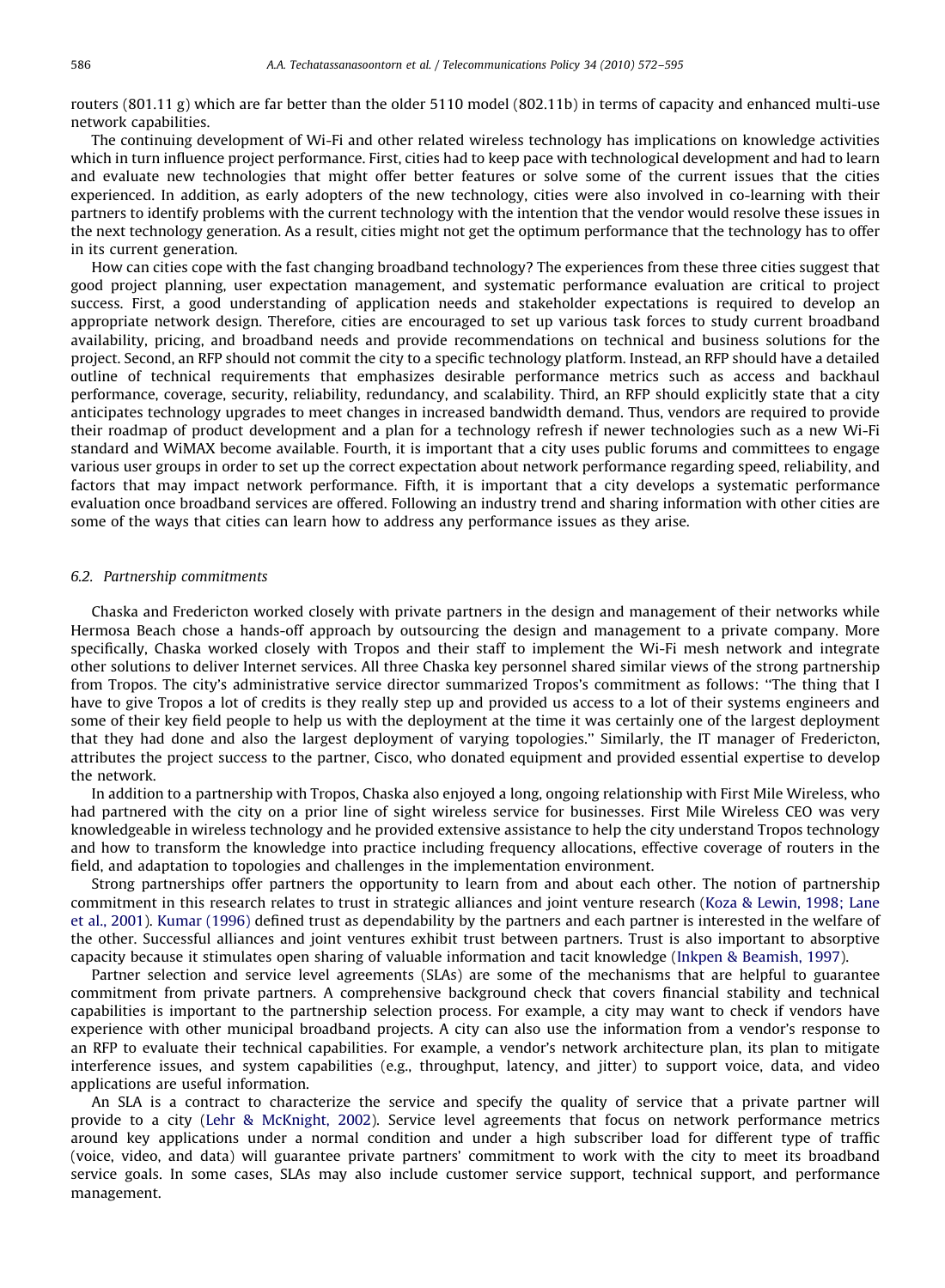routers (801.11 g) which are far better than the older 5110 model (802.11b) in terms of capacity and enhanced multi-use network capabilities.

The continuing development of Wi-Fi and other related wireless technology has implications on knowledge activities which in turn influence project performance. First, cities had to keep pace with technological development and had to learn and evaluate new technologies that might offer better features or solve some of the current issues that the cities experienced. In addition, as early adopters of the new technology, cities were also involved in co-learning with their partners to identify problems with the current technology with the intention that the vendor would resolve these issues in the next technology generation. As a result, cities might not get the optimum performance that the technology has to offer in its current generation.

How can cities cope with the fast changing broadband technology? The experiences from these three cities suggest that good project planning, user expectation management, and systematic performance evaluation are critical to project success. First, a good understanding of application needs and stakeholder expectations is required to develop an appropriate network design. Therefore, cities are encouraged to set up various task forces to study current broadband availability, pricing, and broadband needs and provide recommendations on technical and business solutions for the project. Second, an RFP should not commit the city to a specific technology platform. Instead, an RFP should have a detailed outline of technical requirements that emphasizes desirable performance metrics such as access and backhaul performance, coverage, security, reliability, redundancy, and scalability. Third, an RFP should explicitly state that a city anticipates technology upgrades to meet changes in increased bandwidth demand. Thus, vendors are required to provide their roadmap of product development and a plan for a technology refresh if newer technologies such as a new Wi-Fi standard and WiMAX become available. Fourth, it is important that a city uses public forums and committees to engage various user groups in order to set up the correct expectation about network performance regarding speed, reliability, and factors that may impact network performance. Fifth, it is important that a city develops a systematic performance evaluation once broadband services are offered. Following an industry trend and sharing information with other cities are some of the ways that cities can learn how to address any performance issues as they arise.

#### 6.2. Partnership commitments

Chaska and Fredericton worked closely with private partners in the design and management of their networks while Hermosa Beach chose a hands-off approach by outsourcing the design and management to a private company. More specifically, Chaska worked closely with Tropos and their staff to implement the Wi-Fi mesh network and integrate other solutions to deliver Internet services. All three Chaska key personnel shared similar views of the strong partnership from Tropos. The city's administrative service director summarized Tropos's commitment as follows: ''The thing that I have to give Tropos a lot of credits is they really step up and provided us access to a lot of their systems engineers and some of their key field people to help us with the deployment at the time it was certainly one of the largest deployment that they had done and also the largest deployment of varying topologies.'' Similarly, the IT manager of Fredericton, attributes the project success to the partner, Cisco, who donated equipment and provided essential expertise to develop the network.

In addition to a partnership with Tropos, Chaska also enjoyed a long, ongoing relationship with First Mile Wireless, who had partnered with the city on a prior line of sight wireless service for businesses. First Mile Wireless CEO was very knowledgeable in wireless technology and he provided extensive assistance to help the city understand Tropos technology and how to transform the knowledge into practice including frequency allocations, effective coverage of routers in the field, and adaptation to topologies and challenges in the implementation environment.

Strong partnerships offer partners the opportunity to learn from and about each other. The notion of partnership commitment in this research relates to trust in strategic alliances and joint venture research ([Koza & Lewin, 1998; Lane](#page-22-0) [et al., 2001](#page-22-0)). [Kumar \(1996\)](#page-22-0) defined trust as dependability by the partners and each partner is interested in the welfare of the other. Successful alliances and joint ventures exhibit trust between partners. Trust is also important to absorptive capacity because it stimulates open sharing of valuable information and tacit knowledge [\(Inkpen](#page-22-0) [& Beamish, 1997](#page-22-0)).

Partner selection and service level agreements (SLAs) are some of the mechanisms that are helpful to guarantee commitment from private partners. A comprehensive background check that covers financial stability and technical capabilities is important to the partnership selection process. For example, a city may want to check if vendors have experience with other municipal broadband projects. A city can also use the information from a vendor's response to an RFP to evaluate their technical capabilities. For example, a vendor's network architecture plan, its plan to mitigate interference issues, and system capabilities (e.g., throughput, latency, and jitter) to support voice, data, and video applications are useful information.

An SLA is a contract to characterize the service and specify the quality of service that a private partner will provide to a city ([Lehr](#page-22-0) [& McKnight, 2002\)](#page-22-0). Service level agreements that focus on network performance metrics around key applications under a normal condition and under a high subscriber load for different type of traffic (voice, video, and data) will guarantee private partners' commitment to work with the city to meet its broadband service goals. In some cases, SLAs may also include customer service support, technical support, and performance management.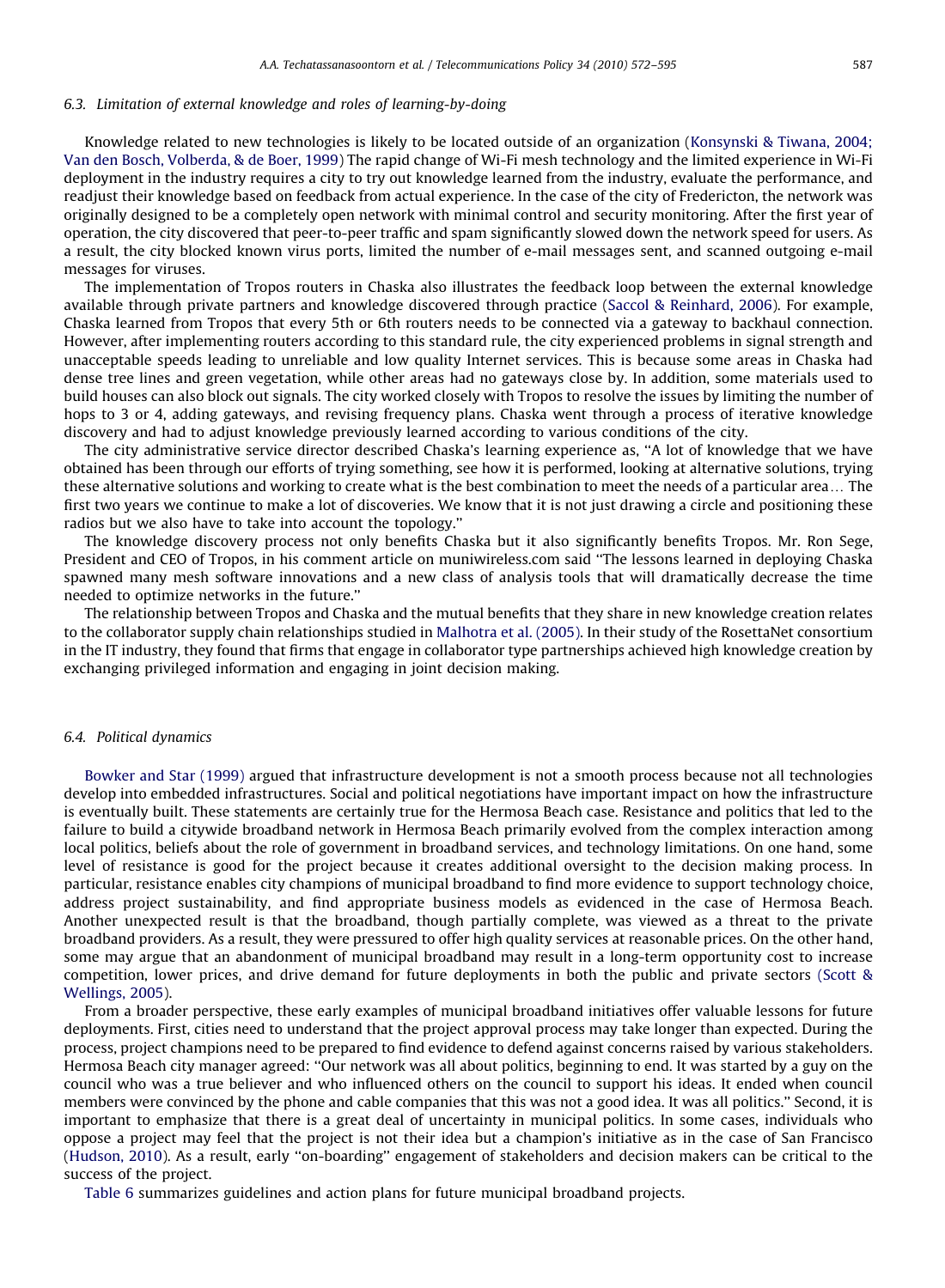#### 6.3. Limitation of external knowledge and roles of learning-by-doing

Knowledge related to new technologies is likely to be located outside of an organization ([Konsynski & Tiwana, 2004;](#page-22-0) [Van den Bosch, Volberda,](#page-22-0) & [de Boer, 1999](#page-22-0)) The rapid change of Wi-Fi mesh technology and the limited experience in Wi-Fi deployment in the industry requires a city to try out knowledge learned from the industry, evaluate the performance, and readjust their knowledge based on feedback from actual experience. In the case of the city of Fredericton, the network was originally designed to be a completely open network with minimal control and security monitoring. After the first year of operation, the city discovered that peer-to-peer traffic and spam significantly slowed down the network speed for users. As a result, the city blocked known virus ports, limited the number of e-mail messages sent, and scanned outgoing e-mail messages for viruses.

The implementation of Tropos routers in Chaska also illustrates the feedback loop between the external knowledge available through private partners and knowledge discovered through practice [\(Saccol](#page-23-0) [& Reinhard, 2006](#page-23-0)). For example, Chaska learned from Tropos that every 5th or 6th routers needs to be connected via a gateway to backhaul connection. However, after implementing routers according to this standard rule, the city experienced problems in signal strength and unacceptable speeds leading to unreliable and low quality Internet services. This is because some areas in Chaska had dense tree lines and green vegetation, while other areas had no gateways close by. In addition, some materials used to build houses can also block out signals. The city worked closely with Tropos to resolve the issues by limiting the number of hops to 3 or 4, adding gateways, and revising frequency plans. Chaska went through a process of iterative knowledge discovery and had to adjust knowledge previously learned according to various conditions of the city.

The city administrative service director described Chaska's learning experience as, ''A lot of knowledge that we have obtained has been through our efforts of trying something, see how it is performed, looking at alternative solutions, trying these alternative solutions and working to create what is the best combination to meet the needs of a particular area... The first two years we continue to make a lot of discoveries. We know that it is not just drawing a circle and positioning these radios but we also have to take into account the topology.''

The knowledge discovery process not only benefits Chaska but it also significantly benefits Tropos. Mr. Ron Sege, President and CEO of Tropos, in his comment article on muniwireless.com said ''The lessons learned in deploying Chaska spawned many mesh software innovations and a new class of analysis tools that will dramatically decrease the time needed to optimize networks in the future.''

The relationship between Tropos and Chaska and the mutual benefits that they share in new knowledge creation relates to the collaborator supply chain relationships studied in [Malhotra et al. \(2005\)](#page-22-0). In their study of the RosettaNet consortium in the IT industry, they found that firms that engage in collaborator type partnerships achieved high knowledge creation by exchanging privileged information and engaging in joint decision making.

#### 6.4. Political dynamics

[Bowker and Star \(1999\)](#page-22-0) argued that infrastructure development is not a smooth process because not all technologies develop into embedded infrastructures. Social and political negotiations have important impact on how the infrastructure is eventually built. These statements are certainly true for the Hermosa Beach case. Resistance and politics that led to the failure to build a citywide broadband network in Hermosa Beach primarily evolved from the complex interaction among local politics, beliefs about the role of government in broadband services, and technology limitations. On one hand, some level of resistance is good for the project because it creates additional oversight to the decision making process. In particular, resistance enables city champions of municipal broadband to find more evidence to support technology choice, address project sustainability, and find appropriate business models as evidenced in the case of Hermosa Beach. Another unexpected result is that the broadband, though partially complete, was viewed as a threat to the private broadband providers. As a result, they were pressured to offer high quality services at reasonable prices. On the other hand, some may argue that an abandonment of municipal broadband may result in a long-term opportunity cost to increase competition, lower prices, and drive demand for future deployments in both the public and private sectors [\(Scott](#page-23-0) & [Wellings, 2005](#page-23-0)).

From a broader perspective, these early examples of municipal broadband initiatives offer valuable lessons for future deployments. First, cities need to understand that the project approval process may take longer than expected. During the process, project champions need to be prepared to find evidence to defend against concerns raised by various stakeholders. Hermosa Beach city manager agreed: ''Our network was all about politics, beginning to end. It was started by a guy on the council who was a true believer and who influenced others on the council to support his ideas. It ended when council members were convinced by the phone and cable companies that this was not a good idea. It was all politics.'' Second, it is important to emphasize that there is a great deal of uncertainty in municipal politics. In some cases, individuals who oppose a project may feel that the project is not their idea but a champion's initiative as in the case of San Francisco ([Hudson, 2010](#page-22-0)). As a result, early ''on-boarding'' engagement of stakeholders and decision makers can be critical to the success of the project.

[Table 6](#page-16-0) summarizes guidelines and action plans for future municipal broadband projects.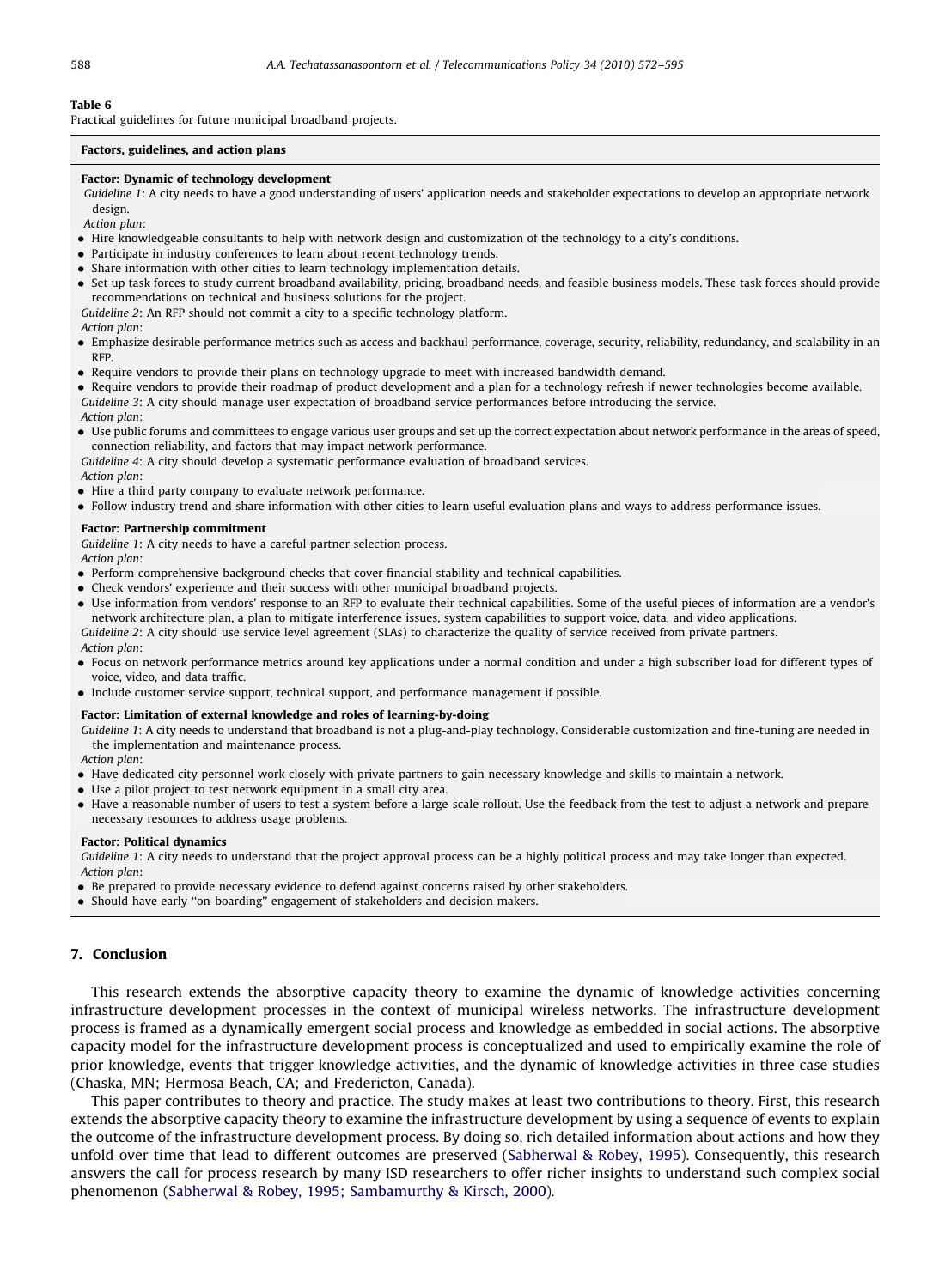<span id="page-16-0"></span>Practical guidelines for future municipal broadband projects.

#### Factors, guidelines, and action plans

#### Factor: Dynamic of technology development

Guideline 1: A city needs to have a good understanding of users' application needs and stakeholder expectations to develop an appropriate network design.

Action plan:

- Hire knowledgeable consultants to help with network design and customization of the technology to a city's conditions.
- Participate in industry conferences to learn about recent technology trends.
- Share information with other cities to learn technology implementation details.
- Set up task forces to study current broadband availability, pricing, broadband needs, and feasible business models. These task forces should provide recommendations on technical and business solutions for the project.

Guideline 2: An RFP should not commit a city to a specific technology platform.

Action plan:

- Emphasize desirable performance metrics such as access and backhaul performance, coverage, security, reliability, redundancy, and scalability in an RFP.
- Require vendors to provide their plans on technology upgrade to meet with increased bandwidth demand.

- Require vendors to provide their roadmap of product development and a plan for a technology refresh if newer technologies become available. Guideline 3: A city should manage user expectation of broadband service performances before introducing the service. Action plan:

- Use public forums and committees to engage various user groups and set up the correct expectation about network performance in the areas of speed, connection reliability, and factors that may impact network performance.

Guideline 4: A city should develop a systematic performance evaluation of broadband services.

Action plan:

- $\bullet$  Hire a third party company to evaluate network performance.
- Follow industry trend and share information with other cities to learn useful evaluation plans and ways to address performance issues.

#### Factor: Partnership commitment

Guideline 1: A city needs to have a careful partner selection process.

Action plan:

- Perform comprehensive background checks that cover financial stability and technical capabilities.
- $\bullet$  Check vendors' experience and their success with other municipal broadband projects.
- Use information from vendors' response to an RFP to evaluate their technical capabilities. Some of the useful pieces of information are a vendor's network architecture plan, a plan to mitigate interference issues, system capabilities to support voice, data, and video applications.

Guideline 2: A city should use service level agreement (SLAs) to characterize the quality of service received from private partners. Action plan:

- Focus on network performance metrics around key applications under a normal condition and under a high subscriber load for different types of voice, video, and data traffic.
- Include customer service support, technical support, and performance management if possible.

#### Factor: Limitation of external knowledge and roles of learning-by-doing

Guideline 1: A city needs to understand that broadband is not a plug-and-play technology. Considerable customization and fine-tuning are needed in the implementation and maintenance process.

Action plan:

- Have dedicated city personnel work closely with private partners to gain necessary knowledge and skills to maintain a network.
- Use a pilot project to test network equipment in a small city area.
- Have a reasonable number of users to test a system before a large-scale rollout. Use the feedback from the test to adjust a network and prepare necessary resources to address usage problems.

#### Factor: Political dynamics

Guideline 1: A city needs to understand that the project approval process can be a highly political process and may take longer than expected. Action plan:

- Be prepared to provide necessary evidence to defend against concerns raised by other stakeholders.
- Should have early ''on-boarding'' engagement of stakeholders and decision makers.

# 7. Conclusion

This research extends the absorptive capacity theory to examine the dynamic of knowledge activities concerning infrastructure development processes in the context of municipal wireless networks. The infrastructure development process is framed as a dynamically emergent social process and knowledge as embedded in social actions. The absorptive capacity model for the infrastructure development process is conceptualized and used to empirically examine the role of prior knowledge, events that trigger knowledge activities, and the dynamic of knowledge activities in three case studies (Chaska, MN; Hermosa Beach, CA; and Fredericton, Canada).

This paper contributes to theory and practice. The study makes at least two contributions to theory. First, this research extends the absorptive capacity theory to examine the infrastructure development by using a sequence of events to explain the outcome of the infrastructure development process. By doing so, rich detailed information about actions and how they unfold over time that lead to different outcomes are preserved ([Sabherwal & Robey, 1995](#page-23-0)). Consequently, this research answers the call for process research by many ISD researchers to offer richer insights to understand such complex social phenomenon [\(Sabherwal & Robey, 1995; Sambamurthy & Kirsch, 2000\)](#page-23-0).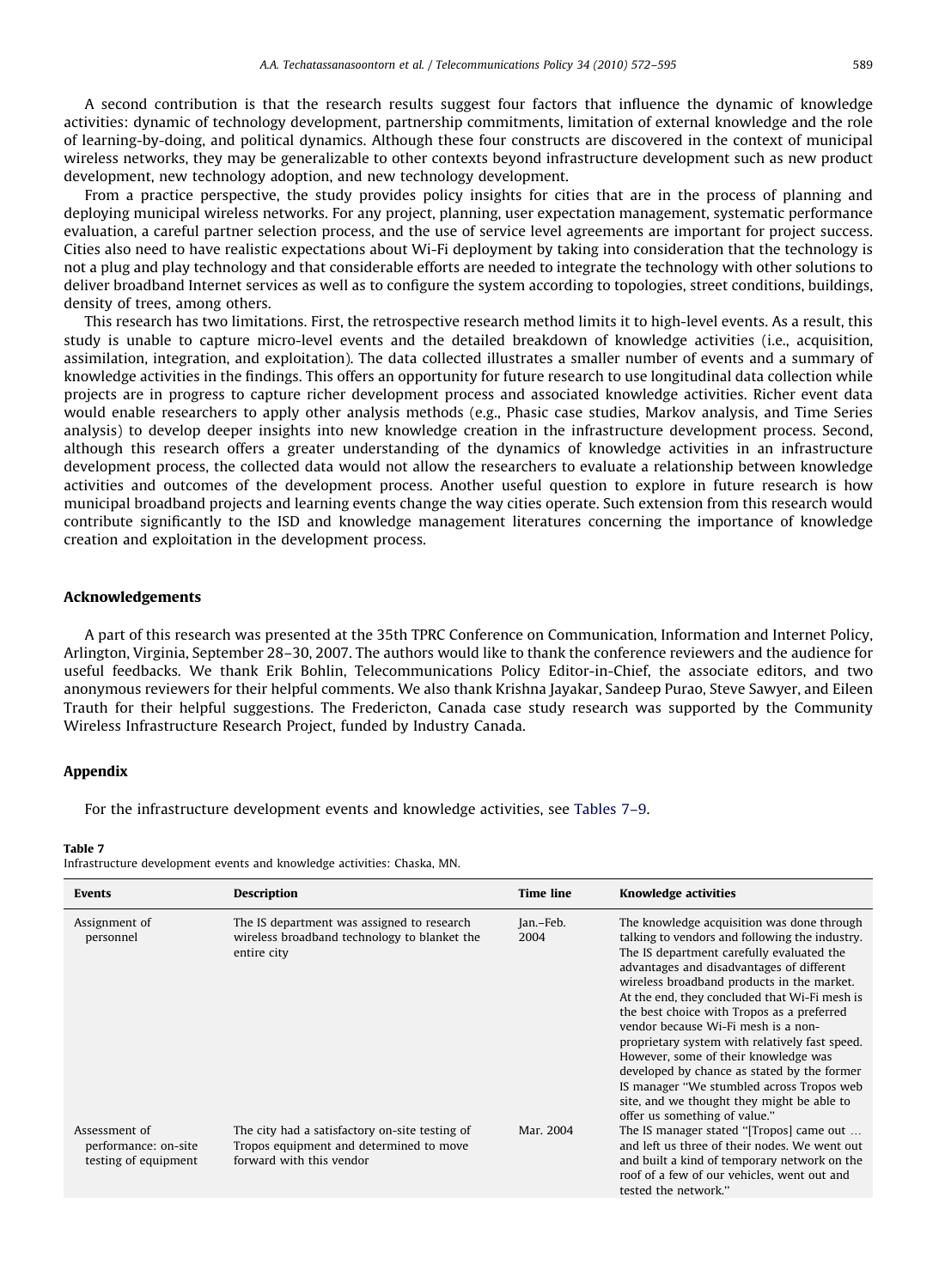A second contribution is that the research results suggest four factors that influence the dynamic of knowledge activities: dynamic of technology development, partnership commitments, limitation of external knowledge and the role of learning-by-doing, and political dynamics. Although these four constructs are discovered in the context of municipal wireless networks, they may be generalizable to other contexts beyond infrastructure development such as new product development, new technology adoption, and new technology development.

From a practice perspective, the study provides policy insights for cities that are in the process of planning and deploying municipal wireless networks. For any project, planning, user expectation management, systematic performance evaluation, a careful partner selection process, and the use of service level agreements are important for project success. Cities also need to have realistic expectations about Wi-Fi deployment by taking into consideration that the technology is not a plug and play technology and that considerable efforts are needed to integrate the technology with other solutions to deliver broadband Internet services as well as to configure the system according to topologies, street conditions, buildings, density of trees, among others.

This research has two limitations. First, the retrospective research method limits it to high-level events. As a result, this study is unable to capture micro-level events and the detailed breakdown of knowledge activities (i.e., acquisition, assimilation, integration, and exploitation). The data collected illustrates a smaller number of events and a summary of knowledge activities in the findings. This offers an opportunity for future research to use longitudinal data collection while projects are in progress to capture richer development process and associated knowledge activities. Richer event data would enable researchers to apply other analysis methods (e.g., Phasic case studies, Markov analysis, and Time Series analysis) to develop deeper insights into new knowledge creation in the infrastructure development process. Second, although this research offers a greater understanding of the dynamics of knowledge activities in an infrastructure development process, the collected data would not allow the researchers to evaluate a relationship between knowledge activities and outcomes of the development process. Another useful question to explore in future research is how municipal broadband projects and learning events change the way cities operate. Such extension from this research would contribute significantly to the ISD and knowledge management literatures concerning the importance of knowledge creation and exploitation in the development process.

#### Acknowledgements

A part of this research was presented at the 35th TPRC Conference on Communication, Information and Internet Policy, Arlington, Virginia, September 28–30, 2007. The authors would like to thank the conference reviewers and the audience for useful feedbacks. We thank Erik Bohlin, Telecommunications Policy Editor-in-Chief, the associate editors, and two anonymous reviewers for their helpful comments. We also thank Krishna Jayakar, Sandeep Purao, Steve Sawyer, and Eileen Trauth for their helpful suggestions. The Fredericton, Canada case study research was supported by the Community Wireless Infrastructure Research Project, funded by Industry Canada.

## Appendix

For the infrastructure development events and knowledge activities, see Tables 7–9.

#### Table 7

Infrastructure development events and knowledge activities: Chaska, MN.

| <b>Events</b>                                                 | <b>Description</b>                                                                                                    | <b>Time line</b>  | <b>Knowledge activities</b>                                                                                                                                                                                                                                                                                                                                                                                                                                                                                                                                                                                                                     |
|---------------------------------------------------------------|-----------------------------------------------------------------------------------------------------------------------|-------------------|-------------------------------------------------------------------------------------------------------------------------------------------------------------------------------------------------------------------------------------------------------------------------------------------------------------------------------------------------------------------------------------------------------------------------------------------------------------------------------------------------------------------------------------------------------------------------------------------------------------------------------------------------|
| Assignment of<br>personnel                                    | The IS department was assigned to research<br>wireless broadband technology to blanket the<br>entire city             | Jan.-Feb.<br>2004 | The knowledge acquisition was done through<br>talking to vendors and following the industry.<br>The IS department carefully evaluated the<br>advantages and disadvantages of different<br>wireless broadband products in the market.<br>At the end, they concluded that Wi-Fi mesh is<br>the best choice with Tropos as a preferred<br>vendor because Wi-Fi mesh is a non-<br>proprietary system with relatively fast speed.<br>However, some of their knowledge was<br>developed by chance as stated by the former<br>IS manager "We stumbled across Tropos web<br>site, and we thought they might be able to<br>offer us something of value." |
| Assessment of<br>performance: on-site<br>testing of equipment | The city had a satisfactory on-site testing of<br>Tropos equipment and determined to move<br>forward with this vendor | Mar. 2004         | The IS manager stated "[Tropos] came out<br>and left us three of their nodes. We went out<br>and built a kind of temporary network on the<br>roof of a few of our vehicles, went out and<br>tested the network."                                                                                                                                                                                                                                                                                                                                                                                                                                |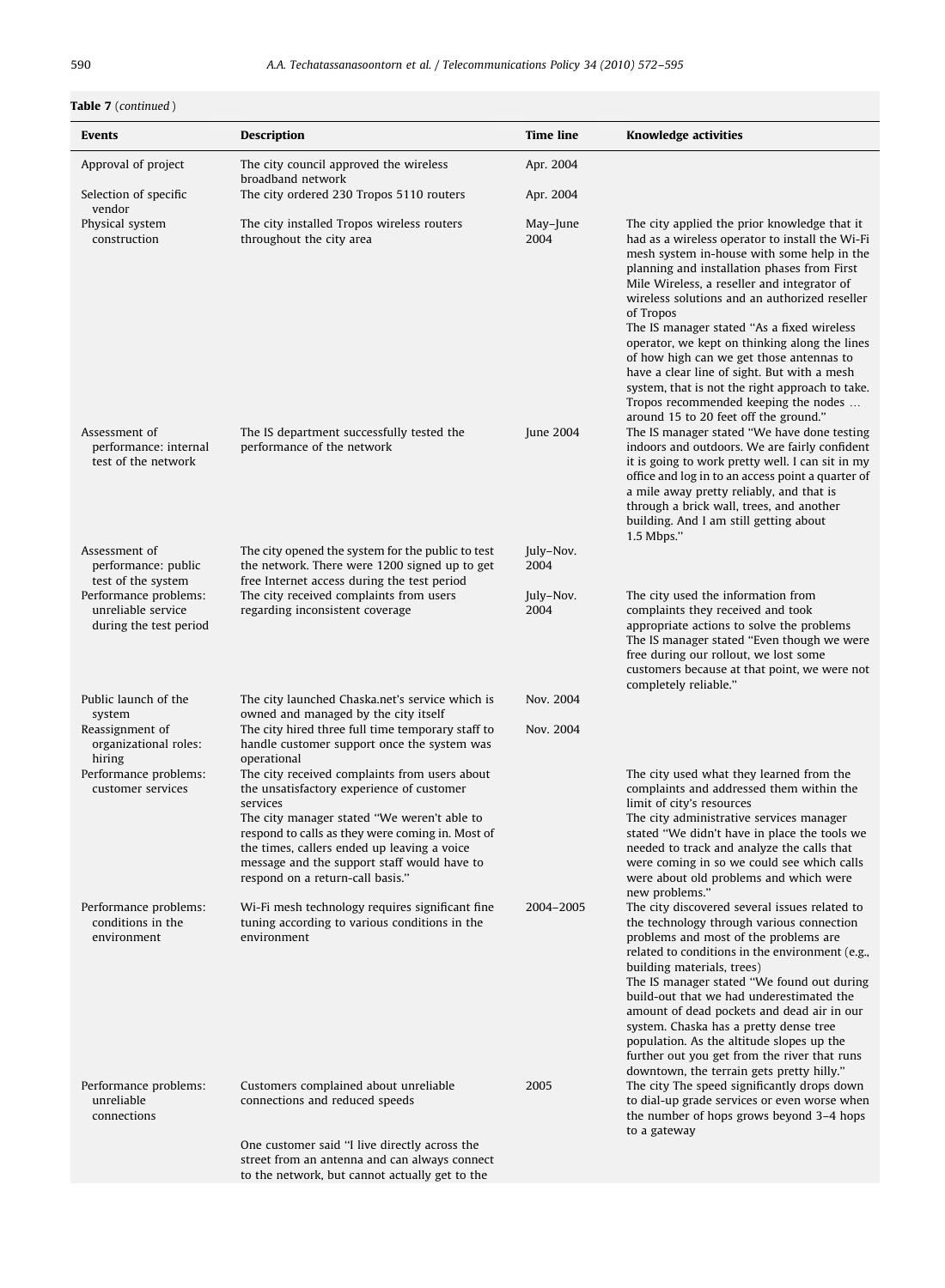# Table 7 (continued)

| Events                                                                                | Description                                                                                                                                                                                                                                                                                | <b>Time line</b>  | Knowledge activities                                                                                                                                                                                                                                                                                                                                                                                                                                                                                                                                                                                                                    |
|---------------------------------------------------------------------------------------|--------------------------------------------------------------------------------------------------------------------------------------------------------------------------------------------------------------------------------------------------------------------------------------------|-------------------|-----------------------------------------------------------------------------------------------------------------------------------------------------------------------------------------------------------------------------------------------------------------------------------------------------------------------------------------------------------------------------------------------------------------------------------------------------------------------------------------------------------------------------------------------------------------------------------------------------------------------------------------|
| Approval of project                                                                   | The city council approved the wireless<br>broadband network                                                                                                                                                                                                                                | Apr. 2004         |                                                                                                                                                                                                                                                                                                                                                                                                                                                                                                                                                                                                                                         |
| Selection of specific<br>vendor                                                       | The city ordered 230 Tropos 5110 routers                                                                                                                                                                                                                                                   | Apr. 2004         |                                                                                                                                                                                                                                                                                                                                                                                                                                                                                                                                                                                                                                         |
| Physical system<br>construction                                                       | The city installed Tropos wireless routers<br>throughout the city area                                                                                                                                                                                                                     | May-June<br>2004  | The city applied the prior knowledge that it<br>had as a wireless operator to install the Wi-Fi<br>mesh system in-house with some help in the<br>planning and installation phases from First<br>Mile Wireless, a reseller and integrator of<br>wireless solutions and an authorized reseller<br>of Tropos<br>The IS manager stated "As a fixed wireless<br>operator, we kept on thinking along the lines<br>of how high can we get those antennas to<br>have a clear line of sight. But with a mesh<br>system, that is not the right approach to take.<br>Tropos recommended keeping the nodes<br>around 15 to 20 feet off the ground." |
| Assessment of<br>performance: internal<br>test of the network                         | The IS department successfully tested the<br>performance of the network                                                                                                                                                                                                                    | June 2004         | The IS manager stated "We have done testing<br>indoors and outdoors. We are fairly confident<br>it is going to work pretty well. I can sit in my<br>office and log in to an access point a quarter of<br>a mile away pretty reliably, and that is<br>through a brick wall, trees, and another<br>building. And I am still getting about<br>1.5 Mbps."                                                                                                                                                                                                                                                                                   |
| Assessment of<br>performance: public<br>test of the system                            | The city opened the system for the public to test<br>the network. There were 1200 signed up to get<br>free Internet access during the test period                                                                                                                                          | July-Nov.<br>2004 |                                                                                                                                                                                                                                                                                                                                                                                                                                                                                                                                                                                                                                         |
| Performance problems:<br>unreliable service<br>during the test period                 | The city received complaints from users<br>regarding inconsistent coverage                                                                                                                                                                                                                 | July-Nov.<br>2004 | The city used the information from<br>complaints they received and took<br>appropriate actions to solve the problems<br>The IS manager stated "Even though we were<br>free during our rollout, we lost some<br>customers because at that point, we were not<br>completely reliable."                                                                                                                                                                                                                                                                                                                                                    |
| Public launch of the                                                                  | The city launched Chaska.net's service which is                                                                                                                                                                                                                                            | Nov. 2004         |                                                                                                                                                                                                                                                                                                                                                                                                                                                                                                                                                                                                                                         |
| system<br>Reassignment of<br>organizational roles:<br>hiring<br>Performance problems: | owned and managed by the city itself<br>The city hired three full time temporary staff to<br>handle customer support once the system was<br>operational<br>The city received complaints from users about                                                                                   | Nov. 2004         | The city used what they learned from the                                                                                                                                                                                                                                                                                                                                                                                                                                                                                                                                                                                                |
| customer services                                                                     | the unsatisfactory experience of customer<br>services<br>The city manager stated "We weren't able to<br>respond to calls as they were coming in. Most of<br>the times, callers ended up leaving a voice<br>message and the support staff would have to<br>respond on a return-call basis." |                   | complaints and addressed them within the<br>limit of city's resources<br>The city administrative services manager<br>stated "We didn't have in place the tools we<br>needed to track and analyze the calls that<br>were coming in so we could see which calls<br>were about old problems and which were<br>new problems.'                                                                                                                                                                                                                                                                                                               |
| Performance problems:<br>conditions in the<br>environment                             | Wi-Fi mesh technology requires significant fine<br>tuning according to various conditions in the<br>environment                                                                                                                                                                            | 2004-2005         | The city discovered several issues related to<br>the technology through various connection<br>problems and most of the problems are<br>related to conditions in the environment (e.g.,<br>building materials, trees)<br>The IS manager stated "We found out during<br>build-out that we had underestimated the<br>amount of dead pockets and dead air in our<br>system. Chaska has a pretty dense tree<br>population. As the altitude slopes up the<br>further out you get from the river that runs<br>downtown, the terrain gets pretty hilly."                                                                                        |
| Performance problems:<br>unreliable<br>connections                                    | Customers complained about unreliable<br>connections and reduced speeds<br>One customer said "I live directly across the                                                                                                                                                                   | 2005              | The city The speed significantly drops down<br>to dial-up grade services or even worse when<br>the number of hops grows beyond 3–4 hops<br>to a gateway                                                                                                                                                                                                                                                                                                                                                                                                                                                                                 |
|                                                                                       | street from an antenna and can always connect<br>to the network, but cannot actually get to the                                                                                                                                                                                            |                   |                                                                                                                                                                                                                                                                                                                                                                                                                                                                                                                                                                                                                                         |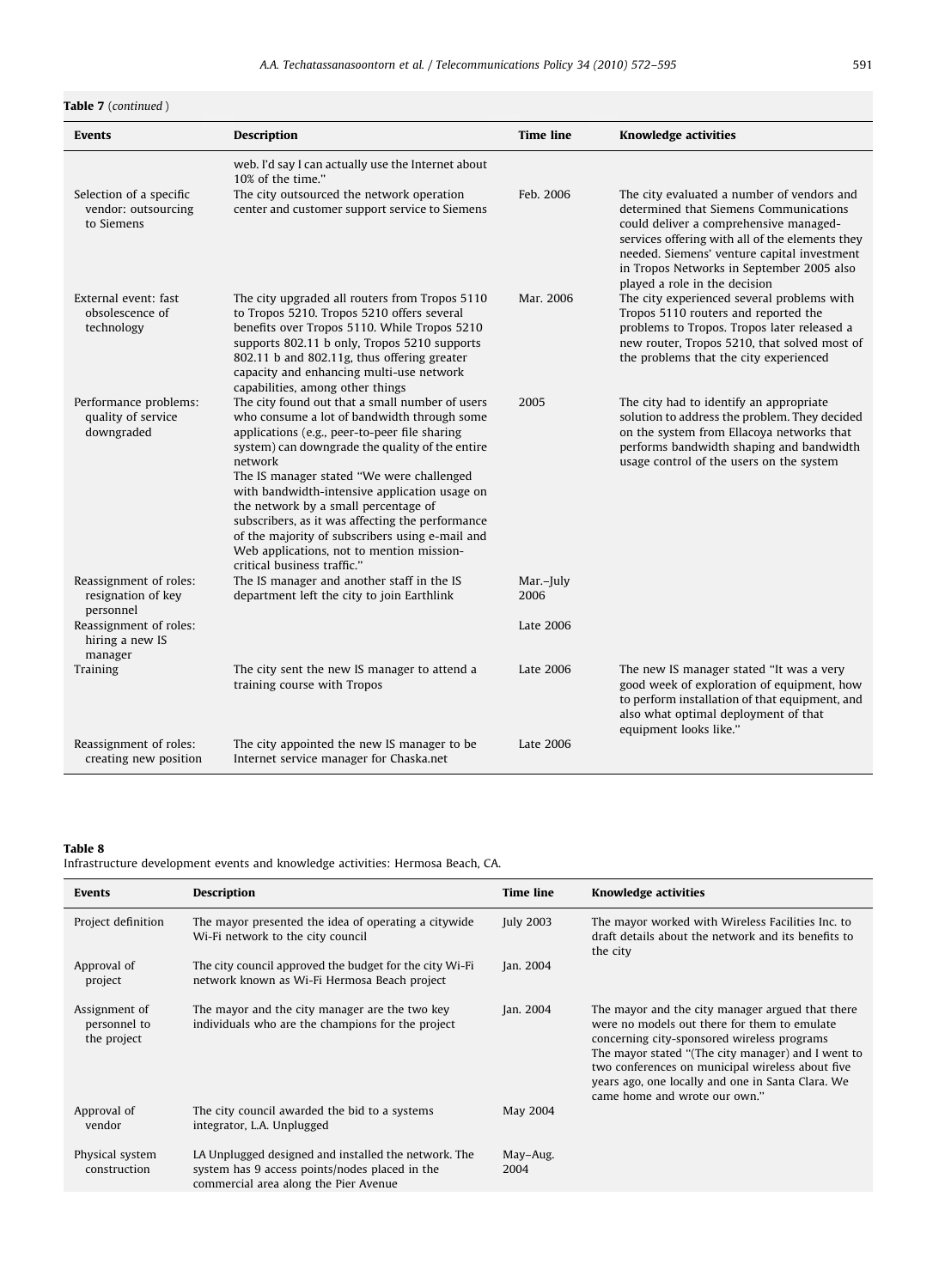Table 7 (continued)

| <b>Events</b>                                                | <b>Description</b>                                                                                                                                                                                                                                                                                                                                                                                                                                                                                                                     | <b>Time line</b>  | <b>Knowledge activities</b>                                                                                                                                                                                                                                                                                    |
|--------------------------------------------------------------|----------------------------------------------------------------------------------------------------------------------------------------------------------------------------------------------------------------------------------------------------------------------------------------------------------------------------------------------------------------------------------------------------------------------------------------------------------------------------------------------------------------------------------------|-------------------|----------------------------------------------------------------------------------------------------------------------------------------------------------------------------------------------------------------------------------------------------------------------------------------------------------------|
|                                                              |                                                                                                                                                                                                                                                                                                                                                                                                                                                                                                                                        |                   |                                                                                                                                                                                                                                                                                                                |
|                                                              | web. I'd say I can actually use the Internet about<br>10% of the time."                                                                                                                                                                                                                                                                                                                                                                                                                                                                |                   |                                                                                                                                                                                                                                                                                                                |
| Selection of a specific<br>vendor: outsourcing<br>to Siemens | The city outsourced the network operation<br>center and customer support service to Siemens                                                                                                                                                                                                                                                                                                                                                                                                                                            | Feb. 2006         | The city evaluated a number of vendors and<br>determined that Siemens Communications<br>could deliver a comprehensive managed-<br>services offering with all of the elements they<br>needed. Siemens' venture capital investment<br>in Tropos Networks in September 2005 also<br>played a role in the decision |
| External event: fast<br>obsolescence of<br>technology        | The city upgraded all routers from Tropos 5110<br>to Tropos 5210. Tropos 5210 offers several<br>benefits over Tropos 5110. While Tropos 5210<br>supports 802.11 b only, Tropos 5210 supports<br>802.11 b and 802.11g, thus offering greater<br>capacity and enhancing multi-use network<br>capabilities, among other things                                                                                                                                                                                                            | Mar. 2006         | The city experienced several problems with<br>Tropos 5110 routers and reported the<br>problems to Tropos. Tropos later released a<br>new router, Tropos 5210, that solved most of<br>the problems that the city experienced                                                                                    |
| Performance problems:<br>quality of service<br>downgraded    | The city found out that a small number of users<br>who consume a lot of bandwidth through some<br>applications (e.g., peer-to-peer file sharing<br>system) can downgrade the quality of the entire<br>network<br>The IS manager stated "We were challenged<br>with bandwidth-intensive application usage on<br>the network by a small percentage of<br>subscribers, as it was affecting the performance<br>of the majority of subscribers using e-mail and<br>Web applications, not to mention mission-<br>critical business traffic." | 2005              | The city had to identify an appropriate<br>solution to address the problem. They decided<br>on the system from Ellacoya networks that<br>performs bandwidth shaping and bandwidth<br>usage control of the users on the system                                                                                  |
| Reassignment of roles:<br>resignation of key<br>personnel    | The IS manager and another staff in the IS<br>department left the city to join Earthlink                                                                                                                                                                                                                                                                                                                                                                                                                                               | Mar.-July<br>2006 |                                                                                                                                                                                                                                                                                                                |
| Reassignment of roles:<br>hiring a new IS<br>manager         |                                                                                                                                                                                                                                                                                                                                                                                                                                                                                                                                        | Late 2006         |                                                                                                                                                                                                                                                                                                                |
| Training                                                     | The city sent the new IS manager to attend a<br>training course with Tropos                                                                                                                                                                                                                                                                                                                                                                                                                                                            | Late 2006         | The new IS manager stated "It was a very<br>good week of exploration of equipment, how<br>to perform installation of that equipment, and<br>also what optimal deployment of that<br>equipment looks like."                                                                                                     |
| Reassignment of roles:<br>creating new position              | The city appointed the new IS manager to be<br>Internet service manager for Chaska.net                                                                                                                                                                                                                                                                                                                                                                                                                                                 | Late 2006         |                                                                                                                                                                                                                                                                                                                |

Infrastructure development events and knowledge activities: Hermosa Beach, CA.

| Events                                       | Description                                                                                                                                     | <b>Time line</b> | <b>Knowledge activities</b>                                                                                                                                                                                                                                                                                                                     |
|----------------------------------------------|-------------------------------------------------------------------------------------------------------------------------------------------------|------------------|-------------------------------------------------------------------------------------------------------------------------------------------------------------------------------------------------------------------------------------------------------------------------------------------------------------------------------------------------|
| Project definition                           | The mayor presented the idea of operating a citywide<br>Wi-Fi network to the city council                                                       | July 2003        | The mayor worked with Wireless Facilities Inc. to<br>draft details about the network and its benefits to<br>the city                                                                                                                                                                                                                            |
| Approval of<br>project                       | The city council approved the budget for the city Wi-Fi<br>network known as Wi-Fi Hermosa Beach project                                         | Jan. 2004        |                                                                                                                                                                                                                                                                                                                                                 |
| Assignment of<br>personnel to<br>the project | The mayor and the city manager are the two key<br>individuals who are the champions for the project                                             | Jan. 2004        | The mayor and the city manager argued that there<br>were no models out there for them to emulate<br>concerning city-sponsored wireless programs<br>The mayor stated "(The city manager) and I went to<br>two conferences on municipal wireless about five<br>years ago, one locally and one in Santa Clara. We<br>came home and wrote our own." |
| Approval of<br>vendor                        | The city council awarded the bid to a systems<br>integrator, L.A. Unplugged                                                                     | May 2004         |                                                                                                                                                                                                                                                                                                                                                 |
| Physical system<br>construction              | LA Unplugged designed and installed the network. The<br>system has 9 access points/nodes placed in the<br>commercial area along the Pier Avenue | May-Aug.<br>2004 |                                                                                                                                                                                                                                                                                                                                                 |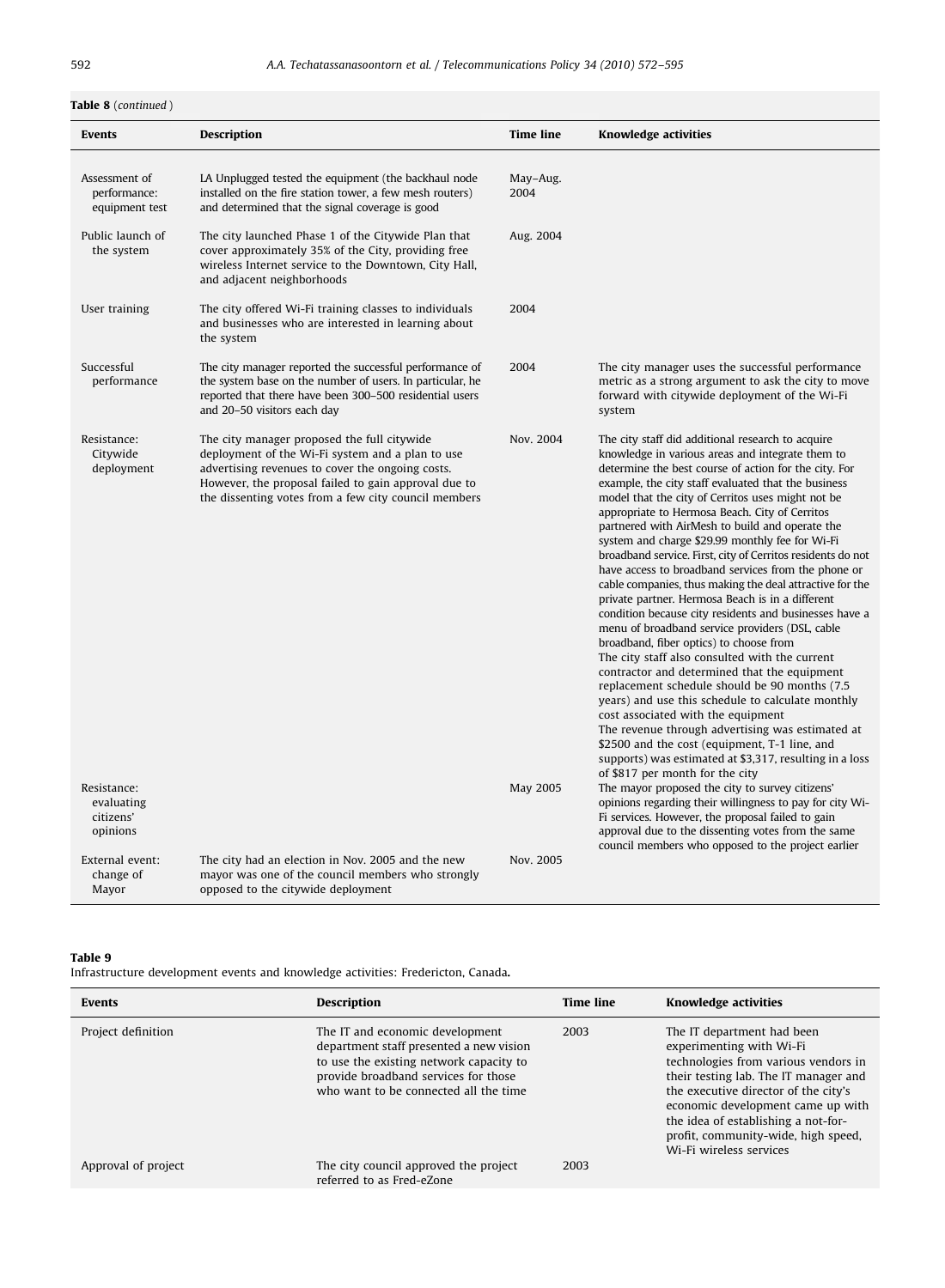# Table 8 (continued)

| Events                                             | Description                                                                                                                                                                                                                                                         | Time line        | <b>Knowledge activities</b>                                                                                                                                                                                                                                                                                                                                                                                                                                                                                                                                                                                                                                                                                                                                                                                                                                                                                                                                                                                                                                                                                                                                                                                                                                                        |
|----------------------------------------------------|---------------------------------------------------------------------------------------------------------------------------------------------------------------------------------------------------------------------------------------------------------------------|------------------|------------------------------------------------------------------------------------------------------------------------------------------------------------------------------------------------------------------------------------------------------------------------------------------------------------------------------------------------------------------------------------------------------------------------------------------------------------------------------------------------------------------------------------------------------------------------------------------------------------------------------------------------------------------------------------------------------------------------------------------------------------------------------------------------------------------------------------------------------------------------------------------------------------------------------------------------------------------------------------------------------------------------------------------------------------------------------------------------------------------------------------------------------------------------------------------------------------------------------------------------------------------------------------|
| Assessment of<br>performance:<br>equipment test    | LA Unplugged tested the equipment (the backhaul node<br>installed on the fire station tower, a few mesh routers)<br>and determined that the signal coverage is good                                                                                                 | May-Aug.<br>2004 |                                                                                                                                                                                                                                                                                                                                                                                                                                                                                                                                                                                                                                                                                                                                                                                                                                                                                                                                                                                                                                                                                                                                                                                                                                                                                    |
| Public launch of<br>the system                     | The city launched Phase 1 of the Citywide Plan that<br>cover approximately 35% of the City, providing free<br>wireless Internet service to the Downtown, City Hall,<br>and adjacent neighborhoods                                                                   | Aug. 2004        |                                                                                                                                                                                                                                                                                                                                                                                                                                                                                                                                                                                                                                                                                                                                                                                                                                                                                                                                                                                                                                                                                                                                                                                                                                                                                    |
| User training                                      | The city offered Wi-Fi training classes to individuals<br>and businesses who are interested in learning about<br>the system                                                                                                                                         | 2004             |                                                                                                                                                                                                                                                                                                                                                                                                                                                                                                                                                                                                                                                                                                                                                                                                                                                                                                                                                                                                                                                                                                                                                                                                                                                                                    |
| Successful<br>performance                          | The city manager reported the successful performance of<br>the system base on the number of users. In particular, he<br>reported that there have been 300-500 residential users<br>and 20-50 visitors each day                                                      | 2004             | The city manager uses the successful performance<br>metric as a strong argument to ask the city to move<br>forward with citywide deployment of the Wi-Fi<br>system                                                                                                                                                                                                                                                                                                                                                                                                                                                                                                                                                                                                                                                                                                                                                                                                                                                                                                                                                                                                                                                                                                                 |
| Resistance:<br>Citywide<br>deployment              | The city manager proposed the full citywide<br>deployment of the Wi-Fi system and a plan to use<br>advertising revenues to cover the ongoing costs.<br>However, the proposal failed to gain approval due to<br>the dissenting votes from a few city council members | Nov. 2004        | The city staff did additional research to acquire<br>knowledge in various areas and integrate them to<br>determine the best course of action for the city. For<br>example, the city staff evaluated that the business<br>model that the city of Cerritos uses might not be<br>appropriate to Hermosa Beach. City of Cerritos<br>partnered with AirMesh to build and operate the<br>system and charge \$29.99 monthly fee for Wi-Fi<br>broadband service. First, city of Cerritos residents do not<br>have access to broadband services from the phone or<br>cable companies, thus making the deal attractive for the<br>private partner. Hermosa Beach is in a different<br>condition because city residents and businesses have a<br>menu of broadband service providers (DSL, cable<br>broadband, fiber optics) to choose from<br>The city staff also consulted with the current<br>contractor and determined that the equipment<br>replacement schedule should be 90 months (7.5)<br>years) and use this schedule to calculate monthly<br>cost associated with the equipment<br>The revenue through advertising was estimated at<br>\$2500 and the cost (equipment, T-1 line, and<br>supports) was estimated at \$3,317, resulting in a loss<br>of \$817 per month for the city |
| Resistance:<br>evaluating<br>citizens'<br>opinions |                                                                                                                                                                                                                                                                     | May 2005         | The mayor proposed the city to survey citizens'<br>opinions regarding their willingness to pay for city Wi-<br>Fi services. However, the proposal failed to gain<br>approval due to the dissenting votes from the same<br>council members who opposed to the project earlier                                                                                                                                                                                                                                                                                                                                                                                                                                                                                                                                                                                                                                                                                                                                                                                                                                                                                                                                                                                                       |
| External event:<br>change of<br>Mayor              | The city had an election in Nov. 2005 and the new<br>mayor was one of the council members who strongly<br>opposed to the citywide deployment                                                                                                                        | Nov. 2005        |                                                                                                                                                                                                                                                                                                                                                                                                                                                                                                                                                                                                                                                                                                                                                                                                                                                                                                                                                                                                                                                                                                                                                                                                                                                                                    |

# Table 9

Infrastructure development events and knowledge activities: Fredericton, Canada.

| <b>Events</b>       | <b>Description</b>                                                                                                                                                                                     | <b>Time line</b> | <b>Knowledge activities</b>                                                                                                                                                                                                                                                                                                   |
|---------------------|--------------------------------------------------------------------------------------------------------------------------------------------------------------------------------------------------------|------------------|-------------------------------------------------------------------------------------------------------------------------------------------------------------------------------------------------------------------------------------------------------------------------------------------------------------------------------|
| Project definition  | The IT and economic development<br>department staff presented a new vision<br>to use the existing network capacity to<br>provide broadband services for those<br>who want to be connected all the time | 2003             | The IT department had been<br>experimenting with Wi-Fi<br>technologies from various vendors in<br>their testing lab. The IT manager and<br>the executive director of the city's<br>economic development came up with<br>the idea of establishing a not-for-<br>profit, community-wide, high speed,<br>Wi-Fi wireless services |
| Approval of project | The city council approved the project<br>referred to as Fred-eZone                                                                                                                                     | 2003             |                                                                                                                                                                                                                                                                                                                               |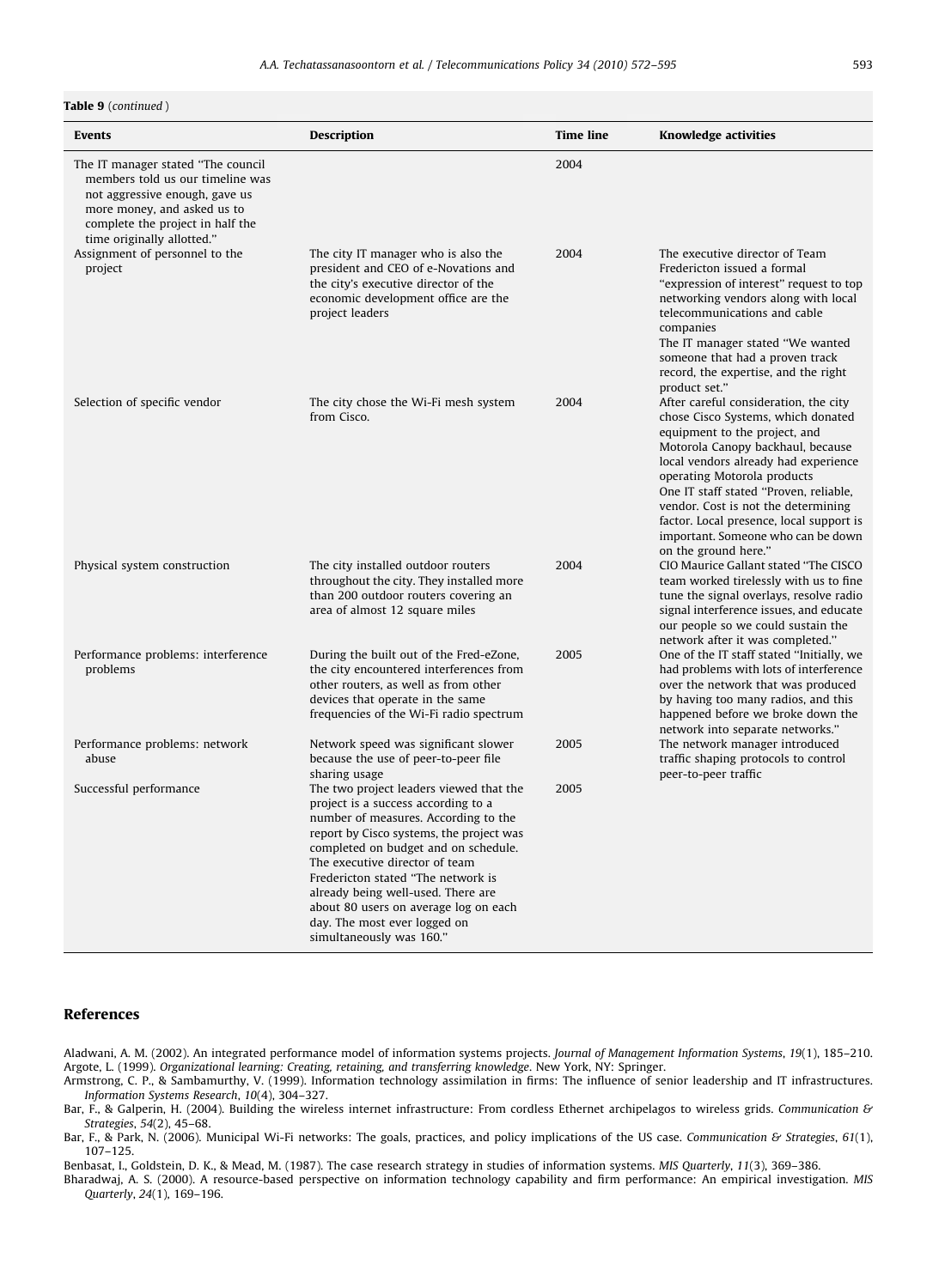#### <span id="page-21-0"></span>Table 9 (continued)

| Events                                                                                                                                                                                                    | Description                                                                                                                                                                                                                                                                                                                                                                                                                   | <b>Time line</b> | <b>Knowledge activities</b>                                                                                                                                                                                                                                                                                                                                                                                         |
|-----------------------------------------------------------------------------------------------------------------------------------------------------------------------------------------------------------|-------------------------------------------------------------------------------------------------------------------------------------------------------------------------------------------------------------------------------------------------------------------------------------------------------------------------------------------------------------------------------------------------------------------------------|------------------|---------------------------------------------------------------------------------------------------------------------------------------------------------------------------------------------------------------------------------------------------------------------------------------------------------------------------------------------------------------------------------------------------------------------|
| The IT manager stated "The council<br>members told us our timeline was<br>not aggressive enough, gave us<br>more money, and asked us to<br>complete the project in half the<br>time originally allotted." |                                                                                                                                                                                                                                                                                                                                                                                                                               | 2004             |                                                                                                                                                                                                                                                                                                                                                                                                                     |
| Assignment of personnel to the<br>project                                                                                                                                                                 | The city IT manager who is also the<br>president and CEO of e-Novations and<br>the city's executive director of the<br>economic development office are the<br>project leaders                                                                                                                                                                                                                                                 | 2004             | The executive director of Team<br>Fredericton issued a formal<br>"expression of interest" request to top<br>networking vendors along with local<br>telecommunications and cable<br>companies<br>The IT manager stated "We wanted<br>someone that had a proven track<br>record, the expertise, and the right<br>product set."                                                                                        |
| Selection of specific vendor                                                                                                                                                                              | The city chose the Wi-Fi mesh system<br>from Cisco.                                                                                                                                                                                                                                                                                                                                                                           | 2004             | After careful consideration, the city<br>chose Cisco Systems, which donated<br>equipment to the project, and<br>Motorola Canopy backhaul, because<br>local vendors already had experience<br>operating Motorola products<br>One IT staff stated "Proven, reliable,<br>vendor. Cost is not the determining<br>factor. Local presence, local support is<br>important. Someone who can be down<br>on the ground here." |
| Physical system construction                                                                                                                                                                              | The city installed outdoor routers<br>throughout the city. They installed more<br>than 200 outdoor routers covering an<br>area of almost 12 square miles                                                                                                                                                                                                                                                                      | 2004             | CIO Maurice Gallant stated "The CISCO<br>team worked tirelessly with us to fine<br>tune the signal overlays, resolve radio<br>signal interference issues, and educate<br>our people so we could sustain the<br>network after it was completed."                                                                                                                                                                     |
| Performance problems: interference<br>problems                                                                                                                                                            | During the built out of the Fred-eZone,<br>the city encountered interferences from<br>other routers, as well as from other<br>devices that operate in the same<br>frequencies of the Wi-Fi radio spectrum                                                                                                                                                                                                                     | 2005             | One of the IT staff stated "Initially, we<br>had problems with lots of interference<br>over the network that was produced<br>by having too many radios, and this<br>happened before we broke down the<br>network into separate networks."                                                                                                                                                                           |
| Performance problems: network<br>abuse                                                                                                                                                                    | Network speed was significant slower<br>because the use of peer-to-peer file<br>sharing usage                                                                                                                                                                                                                                                                                                                                 | 2005             | The network manager introduced<br>traffic shaping protocols to control<br>peer-to-peer traffic                                                                                                                                                                                                                                                                                                                      |
| Successful performance                                                                                                                                                                                    | The two project leaders viewed that the<br>project is a success according to a<br>number of measures. According to the<br>report by Cisco systems, the project was<br>completed on budget and on schedule.<br>The executive director of team<br>Fredericton stated "The network is<br>already being well-used. There are<br>about 80 users on average log on each<br>day. The most ever logged on<br>simultaneously was 160." | 2005             |                                                                                                                                                                                                                                                                                                                                                                                                                     |

#### References

Aladwani, A. M. (2002). An integrated performance model of information systems projects. Journal of Management Information Systems, 19(1), 185–210. Argote, L. (1999). Organizational learning: Creating, retaining, and transferring knowledge. New York, NY: Springer.

Armstrong, C. P., & Sambamurthy, V. (1999). Information technology assimilation in firms: The influence of senior leadership and IT infrastructures. Information Systems Research, 10(4), 304–327.

Bar, F., & Galperin, H. (2004). Building the wireless internet infrastructure: From cordless Ethernet archipelagos to wireless grids. Communication & Strategies, 54(2), 45–68.

Bar, F., & Park, N. (2006). Municipal Wi-Fi networks: The goals, practices, and policy implications of the US case. Communication & Strategies, 61(1), 107–125.

Benbasat, I., Goldstein, D. K., & Mead, M. (1987). The case research strategy in studies of information systems. MIS Quarterly, 11(3), 369–386.

Bharadwaj, A. S. (2000). A resource-based perspective on information technology capability and firm performance: An empirical investigation. MIS Quarterly, 24(1), 169–196.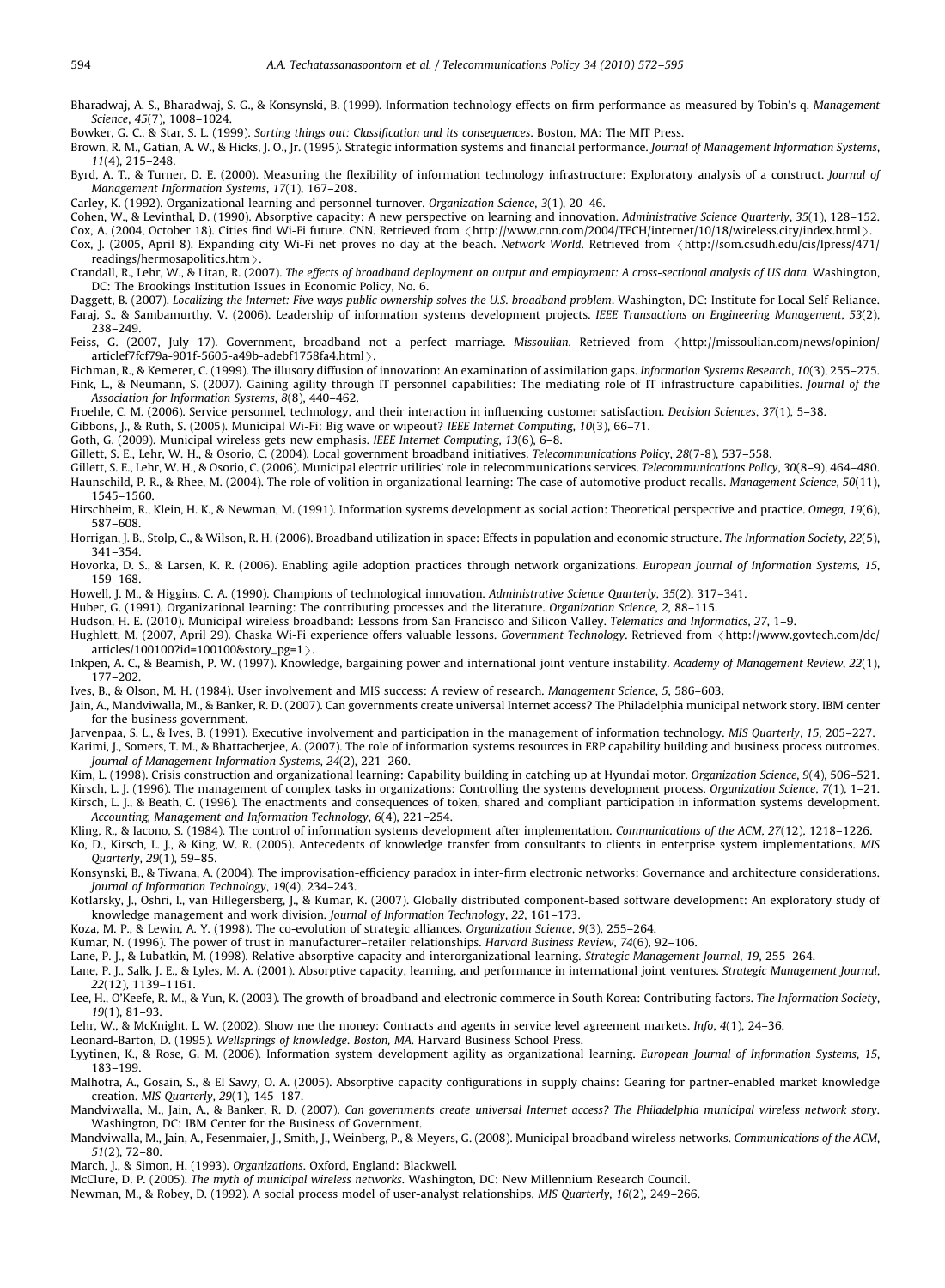<span id="page-22-0"></span>Bharadwaj, A. S., Bharadwaj, S. G., & Konsynski, B. (1999). Information technology effects on firm performance as measured by Tobin's q. Management Science, 45(7), 1008–1024.

Bowker, G. C., & Star, S. L. (1999). Sorting things out: Classification and its consequences. Boston, MA: The MIT Press.

Brown, R. M., Gatian, A. W., & Hicks, J. O., Jr. (1995). Strategic information systems and financial performance. Journal of Management Information Systems, 11(4), 215–248.

Byrd, A. T., & Turner, D. E. (2000). Measuring the flexibility of information technology infrastructure: Exploratory analysis of a construct. Journal of Management Information Systems, 17(1), 167–208.

Carley, K. (1992). Organizational learning and personnel turnover. Organization Science, 3(1), 20–46.

Cohen, W., & Levinthal, D. (1990). Absorptive capacity: A new perspective on learning and innovation. Administrative Science Quarterly, 35(1), 128–152.

Cox, A. (2004, October 18). Cities find Wi-Fi future. CNN. Retrieved from <<http://www.cnn.com/2004/TECH/internet/10/18/wireless.city/index.html>>

Cox, J. (2005, April 8). Expanding city Wi-Fi net proves no day at the beach. Network World. Retrieved from  $\langle$ [http://som.csudh.edu/cis/lpress/471/](http://som.csudh.edu/cis/lpress/471/readings/hermosapolitics.htm)<br>readings/hermosapolitics.htm >.

[readings/hermosapolitics.htm](http://som.csudh.edu/cis/lpress/471/readings/hermosapolitics.htm) >.<br>Crandall, R., Lehr, W., & Litan, R. (2007). *The effects of broadband deployment on output and employment: A cross-sectional analysis of US data*. Washington, DC: The Brookings Institution Issues in Economic Policy, No. 6.

Daggett, B. (2007). Localizing the Internet: Five ways public ownership solves the U.S. broadband problem. Washington, DC: Institute for Local Self-Reliance. Faraj, S., & Sambamurthy, V. (2006). Leadership of information systems development projects. IEEE Transactions on Engineering Management, 53(2), 238–249.

Feiss, G. (2007, July 17). Government, broadband not a perfect marriage. Missoulian. Retrieved from  $\langle$ [http://missoulian.com/news/opinion/](http://missoulian.com/news/opinion/articlef7fcf79a-901f-5605-a49b-adebf1758fa4.html) articlef7fcf79a-901f-5605-a49b-adebf1758fa4.html $\rangle$ .

[articlef7fcf79a-901f-5605-a49b-adebf1758fa4.html](http://missoulian.com/news/opinion/articlef7fcf79a-901f-5605-a49b-adebf1758fa4.html) ) .<br>Fichman, R., & Kemerer, C. (1999). The illusory diffusion of innovation: An examination of assimilation gaps. *Information Systems Research, 10*(3), 255–275. Fink, L., & Neumann, S. (2007). Gaining agility through IT personnel capabilities: The mediating role of IT infrastructure capabilities. Journal of the Association for Information Systems, 8(8), 440–462.

Froehle, C. M. (2006). Service personnel, technology, and their interaction in influencing customer satisfaction. Decision Sciences, 37(1), 5–38.

Gibbons, J., & Ruth, S. (2005). Municipal Wi-Fi: Big wave or wipeout? IEEE Internet Computing, 10(3), 66–71.

Goth, G. (2009). Municipal wireless gets new emphasis. IEEE Internet Computing, 13(6), 6–8.

Gillett, S. E., Lehr, W. H., & Osorio, C. (2004). Local government broadband initiatives. Telecommunications Policy, 28(7-8), 537–558.

Gillett, S. E., Lehr, W. H., & Osorio, C. (2006). Municipal electric utilities' role in telecommunications services. Telecommunications Policy, 30(8–9), 464–480. Haunschild, P. R., & Rhee, M. (2004). The role of volition in organizational learning: The case of automotive product recalls. Management Science, 50(11), 1545–1560.

Hirschheim, R., Klein, H. K., & Newman, M. (1991). Information systems development as social action: Theoretical perspective and practice. Omega, 19(6), 587–608.

Horrigan, J. B., Stolp, C., & Wilson, R. H. (2006). Broadband utilization in space: Effects in population and economic structure. The Information Society, 22(5), 341–354.

Hovorka, D. S., & Larsen, K. R. (2006). Enabling agile adoption practices through network organizations. European Journal of Information Systems, 15, 159–168.

Howell, J. M., & Higgins, C. A. (1990). Champions of technological innovation. Administrative Science Quarterly, 35(2), 317–341.

Huber, G. (1991). Organizational learning: The contributing processes and the literature. Organization Science, 2, 88–115.

Hudson, H. E. (2010). Municipal wireless broadband: Lessons from San Francisco and Silicon Valley. Telematics and Informatics, 27, 1–9.

Hughlett, M. (2007, April 29). Chaska Wi-Fi experience offers valuable lessons. Government Technology. Retrieved from /[http://www.govtech.com/dc/](http://www.govtech.com/dc/articles/100100?id=100100&story_pg=1)  $articles/100100?$ id=100100&[story\\_pg=1](http://www.govtech.com/dc/articles/100100?id=100100&story_pg=1) $>$ .

Inkpen, A. C., & Beamish, P. W. (1997). Knowledge, bargaining power and international joint venture instability. Academy of Management Review, 22(1), 177–202.

Ives, B., & Olson, M. H. (1984). User involvement and MIS success: A review of research. Management Science, 5, 586–603.

Jain, A., Mandviwalla, M., & Banker, R. D. (2007). Can governments create universal Internet access? The Philadelphia municipal network story. IBM center for the business government.

Jarvenpaa, S. L., & Ives, B. (1991). Executive involvement and participation in the management of information technology. MIS Quarterly, 15, 205–227.

Karimi, J., Somers, T. M., & Bhattacherjee, A. (2007). The role of information systems resources in ERP capability building and business process outcomes. Journal of Management Information Systems, 24(2), 221–260.

Kim, L. (1998). Crisis construction and organizational learning: Capability building in catching up at Hyundai motor. Organization Science, 9(4), 506–521.

Kirsch, L. J. (1996). The management of complex tasks in organizations: Controlling the systems development process. Organization Science, 7(1), 1–21. Kirsch, L. J., & Beath, C. (1996). The enactments and consequences of token, shared and compliant participation in information systems development. Accounting, Management and Information Technology, 6(4), 221–254.

Kling, R., & Iacono, S. (1984). The control of information systems development after implementation. Communications of the ACM, 27(12), 1218–1226. Ko, D., Kirsch, L. J., & King, W. R. (2005). Antecedents of knowledge transfer from consultants to clients in enterprise system implementations. MIS Quarterly, 29(1), 59–85.

Konsynski, B., & Tiwana, A. (2004). The improvisation-efficiency paradox in inter-firm electronic networks: Governance and architecture considerations. Journal of Information Technology, 19(4), 234–243.

Kotlarsky, J., Oshri, I., van Hillegersberg, J., & Kumar, K. (2007). Globally distributed component-based software development: An exploratory study of knowledge management and work division. Journal of Information Technology, 22, 161–173.

Koza, M. P., & Lewin, A. Y. (1998). The co-evolution of strategic alliances. Organization Science, 9(3), 255–264.

Kumar, N. (1996). The power of trust in manufacturer–retailer relationships. Harvard Business Review, 74(6), 92–106.

Lane, P. J., & Lubatkin, M. (1998). Relative absorptive capacity and interorganizational learning. Strategic Management Journal, 19, 255–264.

Lane, P. J., Salk, J. E., & Lyles, M. A. (2001). Absorptive capacity, learning, and performance in international joint ventures. Strategic Management Journal, 22(12), 1139–1161.

Lee, H., O'Keefe, R. M., & Yun, K. (2003). The growth of broadband and electronic commerce in South Korea: Contributing factors. The Information Society, 19(1), 81–93.

Lehr, W., & McKnight, L. W. (2002). Show me the money: Contracts and agents in service level agreement markets. Info, 4(1), 24–36.

Leonard-Barton, D. (1995). Wellsprings of knowledge. Boston, MA. Harvard Business School Press.

Lyytinen, K., & Rose, G. M. (2006). Information system development agility as organizational learning. European Journal of Information Systems, 15, 183–199.

Malhotra, A., Gosain, S., & El Sawy, O. A. (2005). Absorptive capacity configurations in supply chains: Gearing for partner-enabled market knowledge creation. MIS Quarterly, 29(1), 145–187.

Mandviwalla, M., Jain, A., & Banker, R. D. (2007). Can governments create universal Internet access? The Philadelphia municipal wireless network story. Washington, DC: IBM Center for the Business of Government.

Mandviwalla, M., Jain, A., Fesenmaier, J., Smith, J., Weinberg, P., & Meyers, G. (2008). Municipal broadband wireless networks. Communications of the ACM, 51(2), 72–80.

March, J., & Simon, H. (1993). Organizations. Oxford, England: Blackwell.

McClure, D. P. (2005). The myth of municipal wireless networks. Washington, DC: New Millennium Research Council.

Newman, M., & Robey, D. (1992). A social process model of user-analyst relationships. MIS Quarterly, 16(2), 249–266.